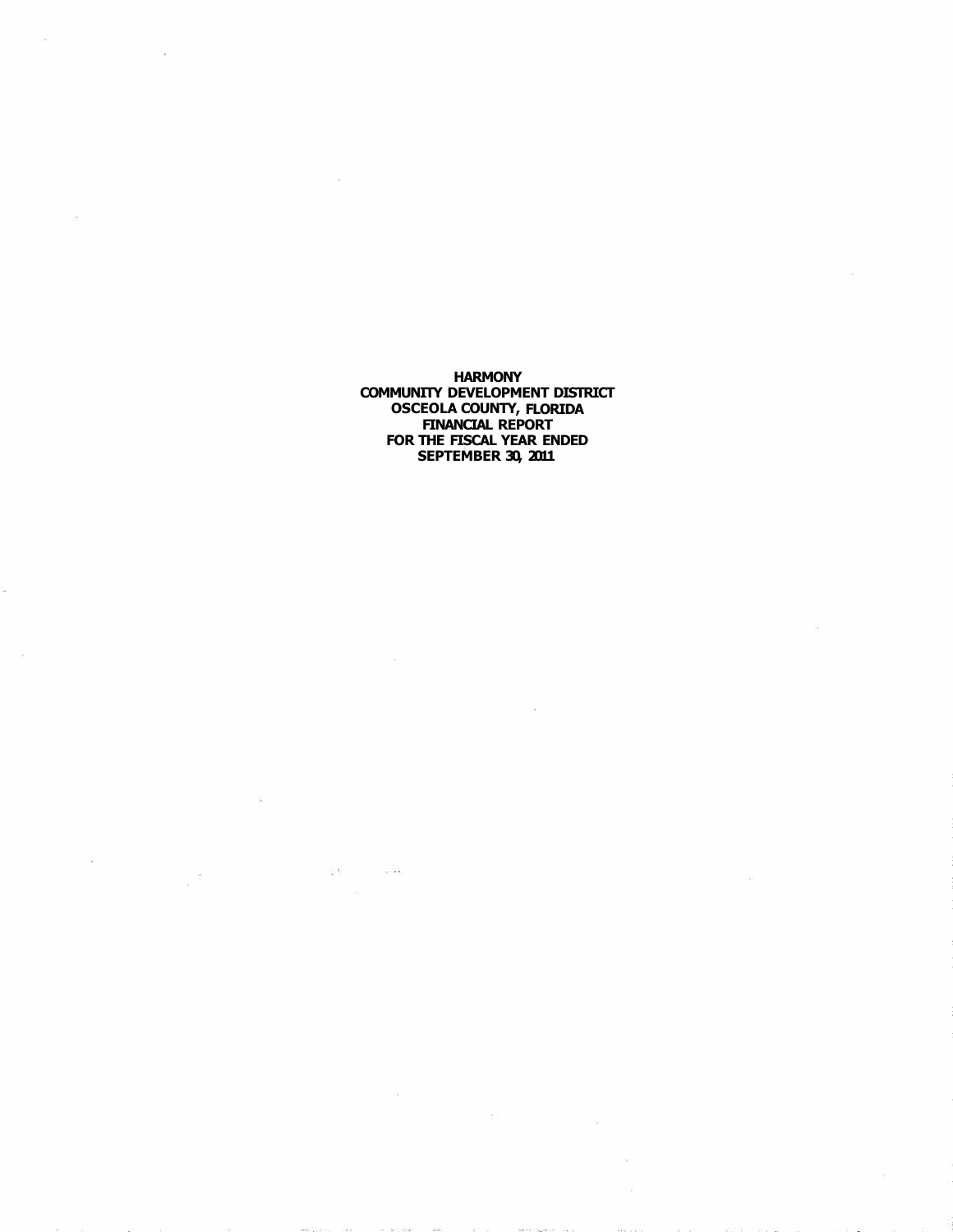**HARMONY COMMUNITY DEVELOPMENT DISTRICT OSCEOLA COUNTY, FLORIDA FINANCIAL REPORT FOR THE FISCAL YEAR ENDED SEPTEMBER 30, 2011** 

 $\sim$ 

 $\frac{1}{2}$  ,  $\frac{1}{2}$  ,  $\frac{1}{2}$  ,  $\frac{1}{2}$  ,  $\frac{1}{2}$  ,  $\frac{1}{2}$  ,  $\frac{1}{2}$  ,  $\frac{1}{2}$ 

 $\frac{1}{2}$ 

 $\bar{\rm d} \bar{\rm e}$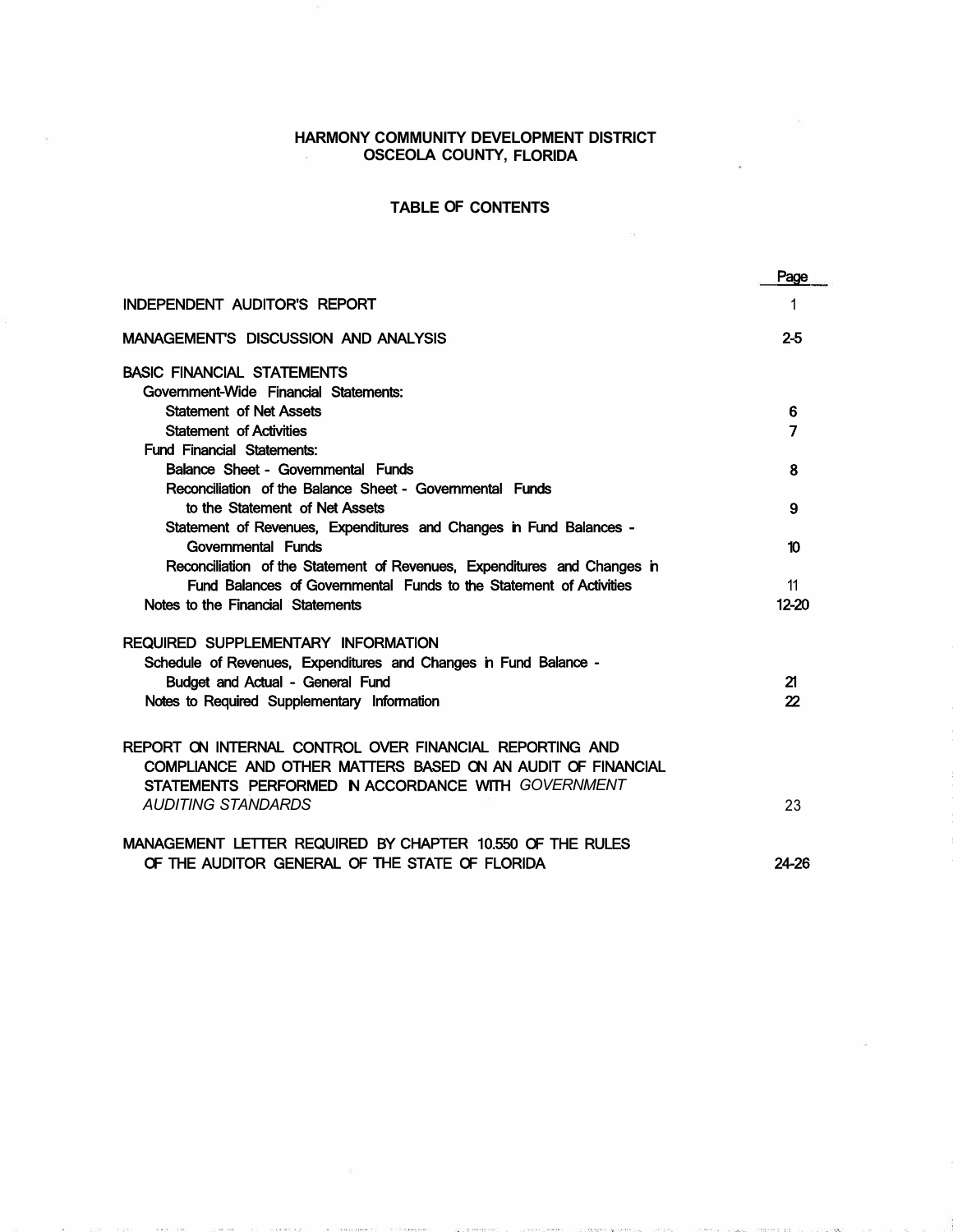# **HARMONY COMMUNITY DEVELOPMENT DISTRICT OSCEOLA COUNTY, FLORIDA**

# **TABLE OF CONTENTS**

|                                                                          | Page  |
|--------------------------------------------------------------------------|-------|
| <b>INDEPENDENT AUDITOR'S REPORT</b>                                      | 1     |
| <b>MANAGEMENTS DISCUSSION AND ANALYSIS</b>                               | $2-5$ |
| <b>BASIC FINANCIAL STATEMENTS</b>                                        |       |
| Government-Wide Financial Statements:                                    |       |
| <b>Statement of Net Assets</b>                                           | 6     |
| <b>Statement of Activities</b>                                           | 7     |
| <b>Fund Financial Statements:</b>                                        |       |
| Balance Sheet - Governmental Funds                                       | 8     |
| Reconciliation of the Balance Sheet - Governmental Funds                 |       |
| to the Statement of Net Assets                                           | 9     |
| Statement of Revenues, Expenditures and Changes in Fund Balances -       |       |
| Governmental Funds                                                       | 10    |
| Reconciliation of the Statement of Revenues, Expenditures and Changes in |       |
| Fund Balances of Governmental Funds to the Statement of Activities       | 11    |
| Notes to the Financial Statements                                        | 12-20 |
| <b>REQUIRED SUPPLEMENTARY INFORMATION</b>                                |       |
| Schedule of Revenues, Expenditures and Changes in Fund Balance -         |       |
| Budget and Actual - General Fund                                         | 21    |
| Notes to Required Supplementary Information                              | 22    |
|                                                                          |       |
| REPORT ON INTERNAL CONTROL OVER FINANCIAL REPORTING AND                  |       |
| COMPLIANCE AND OTHER MATTERS BASED ON AN AUDIT OF FINANCIAL              |       |
| STATEMENTS PERFORMED N ACCORDANCE WITH GOVERNMENT                        |       |
| AUDITING STANDARDS                                                       | 23    |
|                                                                          |       |
| MANAGEMENT LETTER REQUIRED BY CHAPTER 10.550 OF THE RULES                |       |
| OF THE AUDITOR GENERAL OF THE STATE OF FLORIDA                           | 24-26 |
|                                                                          |       |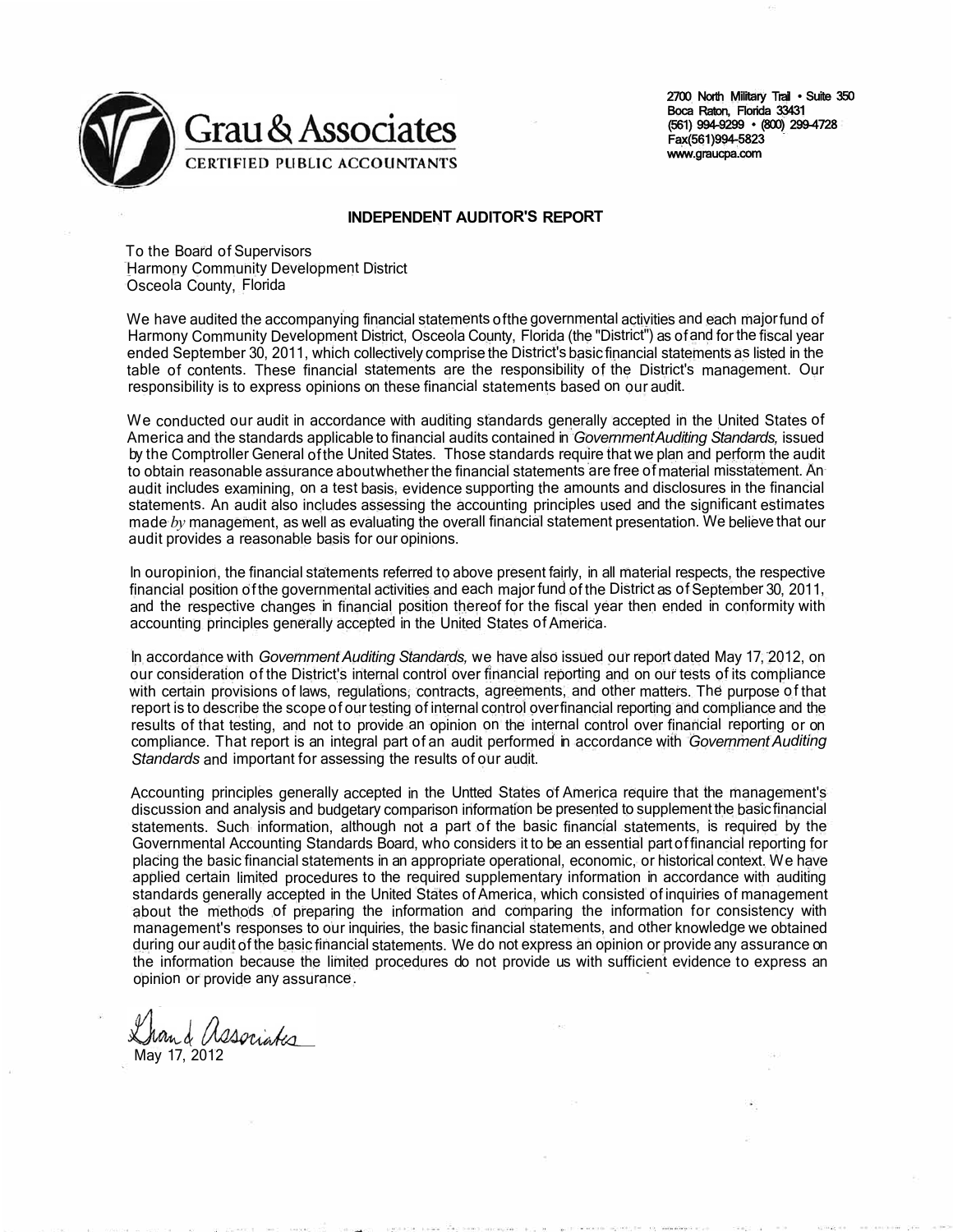

2700 North Military Trail • Suite 350 Boca Raton, Florida 33431 (561) 994-9299 • (800) 299-4728 Fax(561)994-5823 www.graucpa.com

### **INDEPENDENT AUDITOR'S REPORT**

To the Board of Supervisors Harmony Community Development District Osceola County, Florida

We have audited the accompanying financial statements of the governmental activities and each major fund of Harmony Community Development District, Osceola County, Florida (the "District") as of and for the fiscal year ended September 30, 2011, which collectively comprise the District's basic financial statements as listed in the table of contents. These financial statements are the responsibility of the District's management. Our responsibility is to express opinions on these financial statements based on our audit.

We conducted our audit in accordance with auditing standards generally accepted in the United States of America and the standards applicable to financial audits contained in *Government Auditing Standards,* issued by the Comptroller General of the United States. Those standards require that we plan and perform the audit to obtain reasonable assurance about whether the financial statements are free of material misstatement. An audit includes examining, on a test basis, evidence supporting the amounts and disclosures in the financial statements. An audit also includes assessing the accounting principles used and the significant estimates made *by* management, as well as evaluating the overall financial statement presentation. We believe that our audit provides a reasonable basis for our opinions.

In ouropinion, the financial statements referred to above present fairly, in all material respects, the respective financial position of the governmental activities and each major fund of the District as of September 30, 2011, and the respective changes in financial position thereof for the fiscal year then ended in conformity with accounting principles generally accepted in the United States of America.

In accordance with *Government Auditing Standards,* we have also issued our report dated May 17, 2012, on our consideration of the District's internal control over financial reporting and on our tests of its compliance with certain provisions of laws, regulations, contracts, agreements, and other matters. The purpose of that report is to describe the scope of our testing of internal control over financial reporting and compliance and the results of that testing, and not to provide an opinion on the internal control over financial reporting or on compliance. That report is an integral part of an audit performed in accordance with *Government Auditing Standards* and important for assessing the results of our audit.

Accounting principles generally accepted in the Untted States of America require that the management's discussion and analysis and budgetary comparison information be presented to supplement the basic financial statements. Such information, although not a part of the basic financial statements, is required by the Governmental Accounting Standards Board, who considers it to be an essential part of financial reporting for placing the basic financial statements in an appropriate operational, economic, or historical context. We have applied certain limited procedures to the required supplementary information in accordance with auditing standards generally accepted in the United States of America, which consisted of inquiries of management about the methods of preparing the information and comparing the information for consistency with management's responses to our inquiries, the basic financial statements, and other knowledge we obtained during our audit of the basic financial statements. We do not express an opinion or provide any assurance on the information because the limited procedures do not provide us with sufficient evidence to express an opinion or provide any assurance .

.,ft-- *()A.,-.h*

May 17, 2012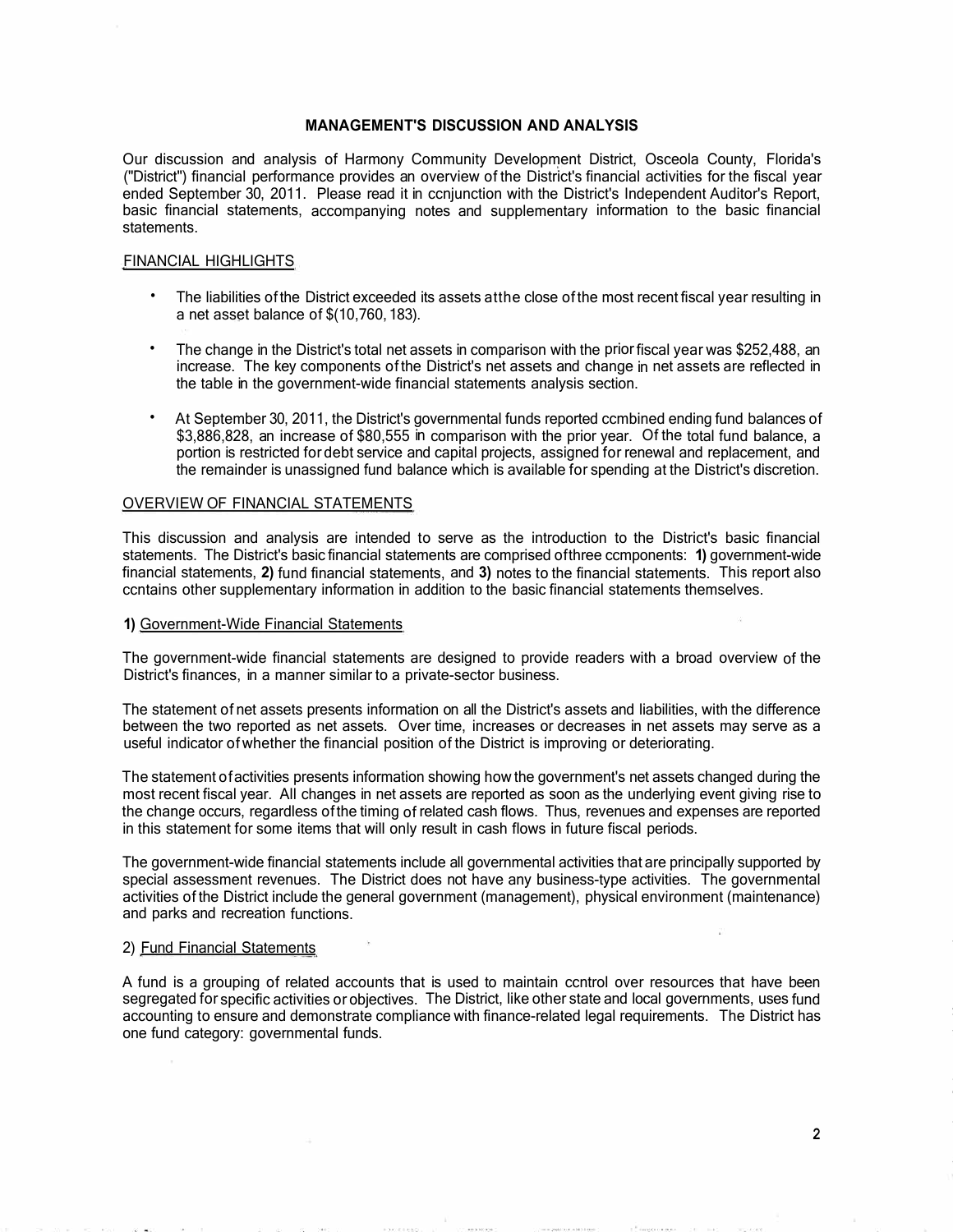# **MANAGEMENT'S DISCUSSION AND ANALYSIS**

Our discussion and analysis of Harmony Community Development District, Osceola County, Florida's ("District") financial performance provides an overview of the District's financial activities for the fiscal year ended September 30, 2011. Please read it in ccniunction with the District's Independent Auditor's Report, basic financial statements, accompanying notes and supplementary information to the basic financial statements.

## FINANCIAL HIGHLIGHTS

- The liabilities of the District exceeded its assets atthe close of the most recent fiscal year resulting in a net asset balance of \$(10,760, 183).
- The change in the District's total net assets in comparison with the prior fiscal year was \$252,488, an increase. The key components of the District's net assets and change in net assets are reflected in the table in the government-wide financial statements analysis section.
- At September 30, 2011, the District's governmental funds reported ccmbined ending fund balances of \$3,886,828, an increase of \$80,555 in comparison with the prior year. Of the total fund balance, a portion is restricted for debt service and capital projects, assigned for renewal and replacement, and the remainder is unassigned fund balance which is available for spending at the District's discretion.

## OVERVIEW OF FINANCIAL STATEMENTS

This discussion and analysis are intended to serve as the introduction to the District's basic financial statements. The District's basic financial statements are comprised of three ccmponents: **1)** government-wide financial statements, **2)** fund financial statements, and **3)** notes to the financial statements. This report also ccntains other supplementary information in addition to the basic financial statements themselves.

### **1)** Government-Wide Financial Statements

The government-wide financial statements are designed to provide readers with a broad overview of the District's finances, in a manner similar to a private-sector business.

The statement of net assets presents information on all the District's assets and liabilities, with the difference between the two reported as net assets. Over time, increases or decreases in net assets may serve as a useful indicator of whether the financial position of the District is improving or deteriorating.

The statement of activities presents information showing how the government's net assets changed during the most recent fiscal year. All changes in net assets are reported as soon as the underlying event giving rise to the change occurs, regardless of the timing of related cash flows. Thus, revenues and expenses are reported in this statement for some items that will only result in cash flows in future fiscal periods.

The government-wide financial statements include all governmental activities that are principally supported by special assessment revenues. The District does not have any business-type activities. The governmental activities of the District include the general government (management), physical environment (maintenance) and parks and recreation functions.

## 2) Fund Financial Statements

A fund is a grouping of related accounts that is used to maintain ccntrol over resources that have been segregated for specific activities or objectives. The District, like other state and local governments, uses fund accounting to ensure and demonstrate compliance with finance-related legal requirements. The District has one fund category: governmental funds.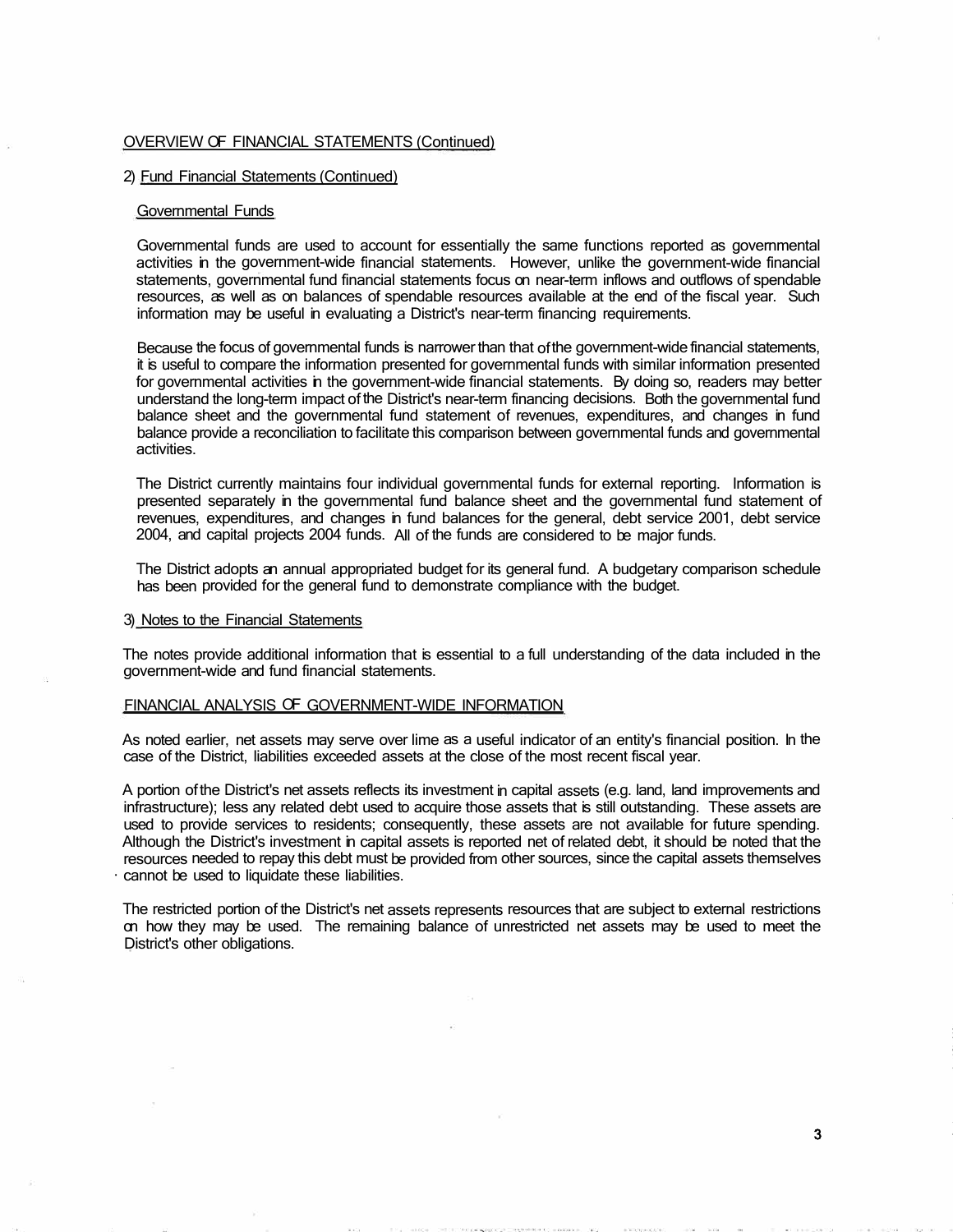## OVERVIEW OF FINANCIAL STATEMENTS (Continued)

# 2) Fund Financial Statements (Continued)

# Governmental Funds

Governmental funds are used to account for essentially the same functions reported as governmental activities in the government-wide financial statements. However, unlike the government-wide financial statements, governmental fund financial statements focus on near-term inflows and outflows of spendable resources, as well as on balances of spendable resources available at the end of the fiscal year. Such information may be useful in evaluating a District's near-term financing requirements.

Because the focus of governmental funds is narrower than that of the government-wide financial statements, it is useful to compare the information presented for governmental funds with similar information presented for governmental activities in the government-wide financial statements. By doing so, readers may better understand the long-term impact of the District's near-term financing decisions. Both the governmental fund balance sheet and the governmental fund statement of revenues, expenditures, and changes in fund balance provide a reconciliation to facilitate this comparison between governmental funds and governmental activities.

The District currently maintains four individual governmental funds for external reporting. Information is presented separately in the governmental fund balance sheet and the governmental fund statement of revenues, expenditures, and changes in fund balances for the general, debt service 2001, debt service 2004, and capital projects 2004 funds. All of the funds are considered to be major funds.

The District adopts an annual appropriated budget for its general fund. A budgetary comparison schedule has been provided for the general fund to demonstrate compliance with the budget.

# 3) Notes to the Financial Statements

The notes provide additional information that is essential to a full understanding of the data included in the government-wide and fund financial statements.

# FINANCIAL ANALYSIS OF GOVERNMENT-WIDE INFORMATION

As noted earlier, net assets may serve over lime as a useful indicator of an entity's financial position. In the case of the District, liabilities exceeded assets at the close of the most recent fiscal year.

A portion of the District's net assets reflects its investment in capital assets (e.g. land, land improvements and infrastructure); less any related debt used to acquire those assets that is still outstanding. These assets are used to provide services to residents; consequently, these assets are not available for future spending. Although the District's investment in capital assets is reported net of related debt, it should be noted that the resources needed to repay this debt must be provided from other sources, since the capital assets themselves cannot be used to liquidate these liabilities.

The restricted portion of the District's net assets represents resources that are subject to external restrictions on how they may be used. The remaining balance of unrestricted net assets may be used to meet the District's other obligations.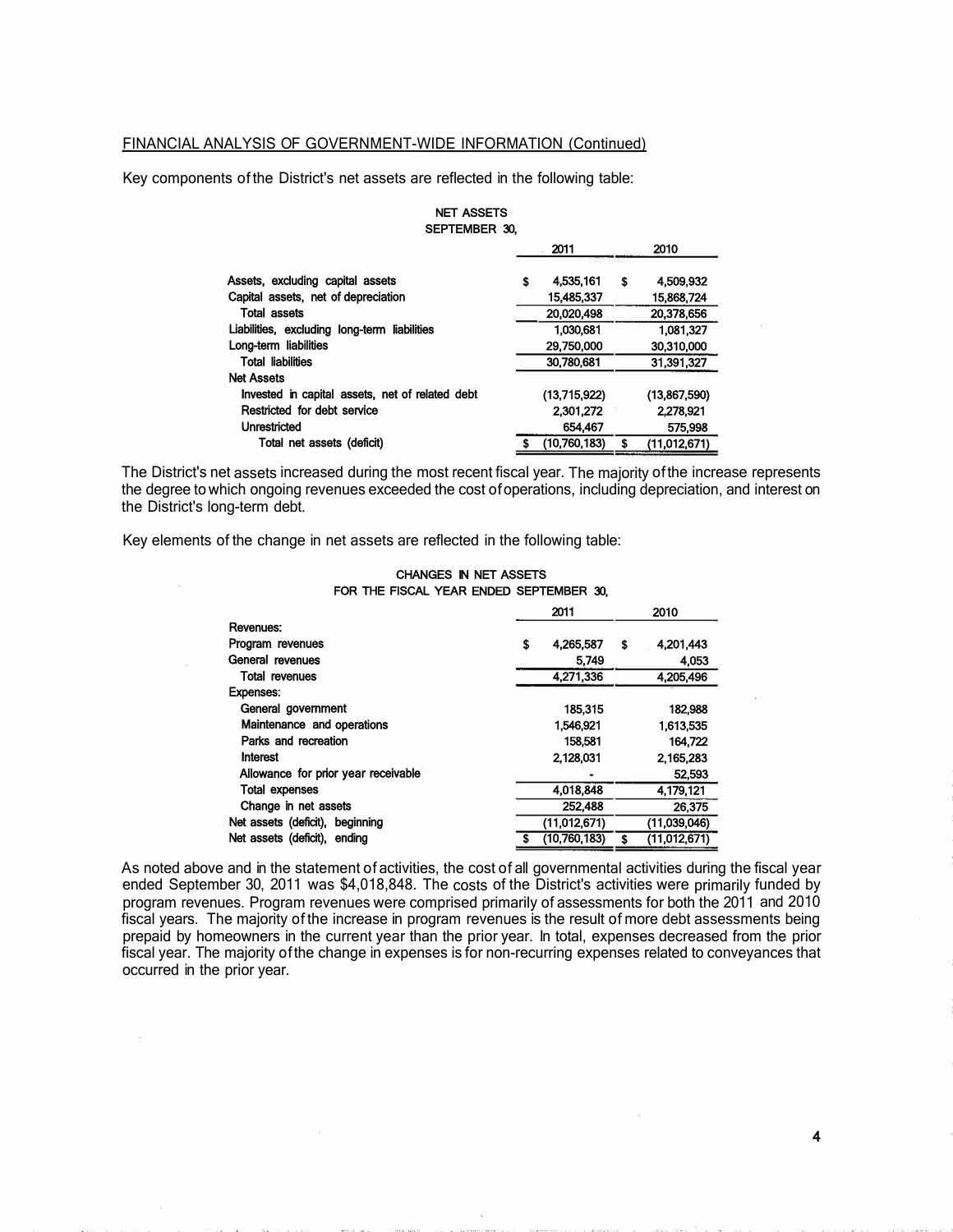# FINANCIAL ANALYSIS OF GOVERNMENT-WIDE INFORMATION (Continued)

Key components of the District's net assets are reflected in the following table:

| <b>SEPTEMBER 30.</b>                            |                 |                 |
|-------------------------------------------------|-----------------|-----------------|
|                                                 | 2011            | 2010            |
| Assets, excluding capital assets                | \$<br>4,535,161 | \$<br>4.509.932 |
| Capital assets, net of depreciation             | 15,485,337      | 15.868.724      |
| <b>Total assets</b>                             | 20,020,498      | 20,378,656      |
| Liabilities, excluding long-term<br>liabilities | 1.030.681       | 1.081.327       |
| Long-term liabilities                           | 29,750,000      | 30,310,000      |
| <b>Total liabilities</b>                        | 30,780,681      | 31.391.327      |
| <b>Net Assets</b>                               |                 |                 |
| Invested in capital assets, net of related debt | (13,715,922)    | (13,867,590)    |
| Restricted for debt service                     | 2,301,272       | 2,278,921       |
| <b>Unrestricted</b>                             | 654,467         | 575,998         |
| Total net assets (deficit)                      | (10,760,183)    | (11,012,671)    |

NET ASSETS

The District's net assets increased during the most recent fiscal year. The majority of the increase represents the degree to which ongoing revenues exceeded the cost of operations, including depreciation, and interest on the District's long-term debt.

CHANGES IN NET ASSETS

Key elements of the change in net assets are reflected in the following table:

## FOR THE FISCAL YEAR ENDED SEPTEMBER 30, 2011 2010 Revenues: Program revenues **1.201,443 \$ 1,265,587 \$ 1,201,443**<br>General revenues 5,749 **6.201,443** General revenues Total revenues 4,271,336 4,205,496 Expenses: General government 185,315 182,988 Maintenance and operations 1,546,921 1,613,535<br>Parks and recreation 1,613,535<br>158,581 164.722 Parks and recreation 158,581 164,722 Interest 2,128,031 2,165,283 Allowance for prior year receivable 52,593 Total expenses 4,018,848 4,179,121 Change in net assets 252,488 26,375 Net assets (deficit), beginning (11,012,671) (11,039,046) Net assets (deficit), ending **\$** (10,760,183) **\$** (11,012,671)

As noted above and in the statement of activities, the cost of all governmental activities during the fiscal year ended September 30, 2011 was \$4,018,848. The costs of the District's activities were primarily funded by program revenues. Program revenues were comprised primarily of assessments for both the 2011 and 2010 fiscal years. The majority of the increase in program revenues is the result of more debt assessments being prepaid by homeowners in the current year than the prior year. In total, expenses decreased from the prior fiscal year. The majority of the change in expenses is for non-recurring expenses related to conveyances that occurred in the prior year.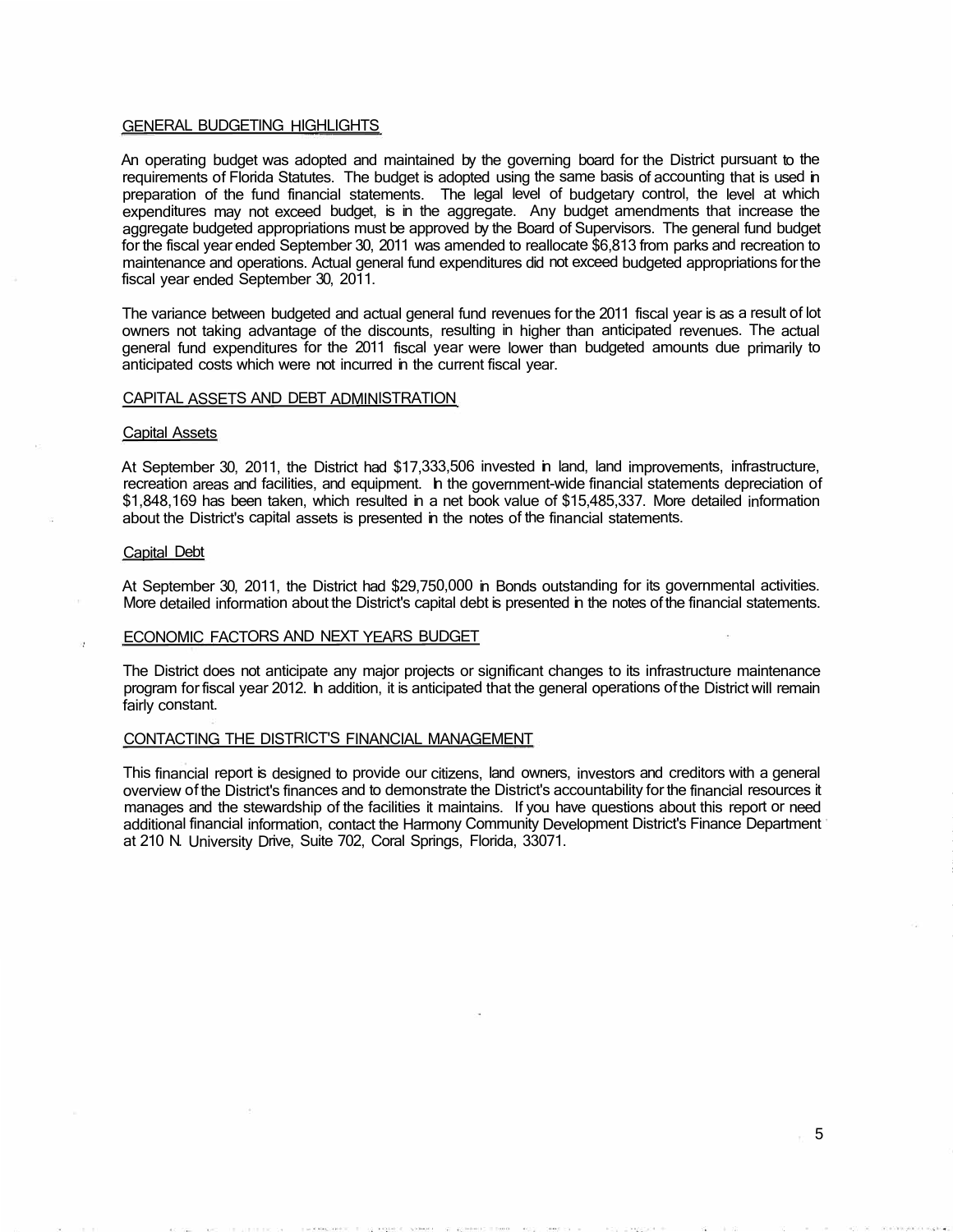# GENERAL BUDGETING HIGHLIGHTS

An operating budget was adopted and maintained by the governing board for the District pursuant to the requirements of Florida Statutes. The budget is adopted using the same basis of accounting that is used in preparation of the fund financial statements. The legal level of budgetary control, the level at which expenditures may not exceed budget, is in the aggregate. Any budget amendments that increase the aggregate budgeted appropriations must be approved by the Board of Supervisors. The general fund budget for the fiscal year ended September 30, 2011 was amended to reallocate \$6,813 from parks and recreation to maintenance and operations. Actual general fund expenditures did not exceed budgeted appropriations for the fiscal year ended September 30, 2011.

The variance between budgeted and actual general fund revenues for the 2011 fiscal year is as a result of lot owners not taking advantage of the discounts, resulting in higher than anticipated revenues. The actual general fund expenditures for the 2011 fiscal year were lower than budgeted amounts due primarily to anticipated costs which were not incurred in the current fiscal year.

## CAPITAL ASSETS AND DEBT ADMINISTRATION

# Capital Assets

At September 30, 2011, the District had \$17,333,506 invested in land, land improvements, infrastructure, recreation areas and facilities, and equipment. In the government-wide financial statements depreciation of \$1,848,169 has been taken, which resulted in a net book value of \$15,485,337. More detailed information about the District's capital assets is presented in the notes of the financial statements.

### Capital Debt

At September 30, 2011, the District had \$29,750,000 in Bonds outstanding for its governmental activities. More detailed information about the District's capital debt is presented in the notes of the financial statements.

## ECONOMIC FACTORS AND NEXT YEARS BUDGET

The District does not anticipate any major projects or significant changes to its infrastructure maintenance program for fiscal year 2012. In addition, it is anticipated that the general operations of the District will remain fairly constant.

### CONTACTING THE DISTRICT'S FINANCIAL MANAGEMENT

This financial report is designed to provide our citizens, land owners, investors and creditors with a general overview of the District's finances and to demonstrate the District's accountability for the financial resources it manages and the stewardship of the facilities it maintains. If you have questions about this report or need additional financial information, contact the Harmony Community Development District's Finance Department at 210 N. University Drive, Suite 702, Coral Springs, Florida, 33071.

5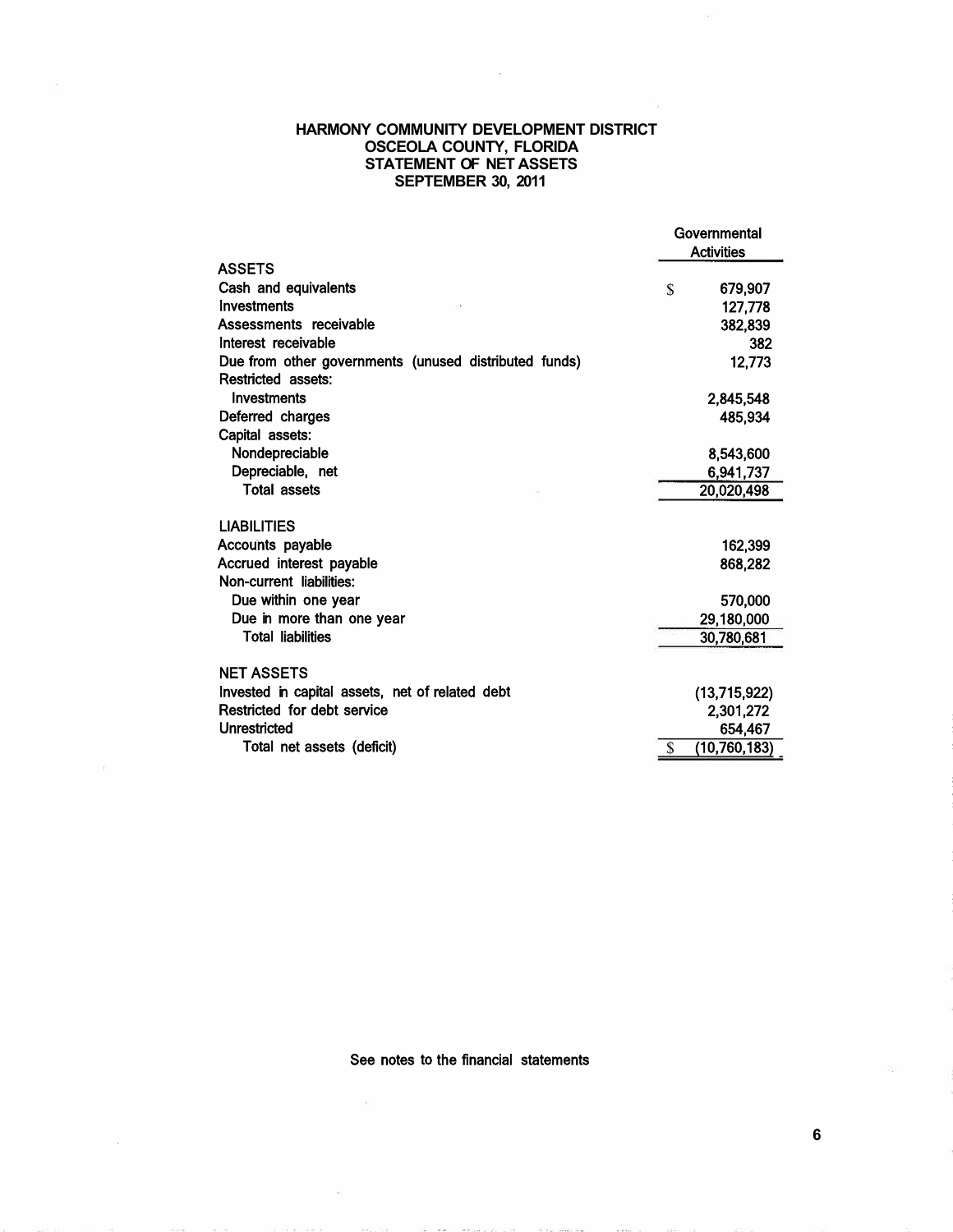# **HARMONY COMMUNITY DEVELOPMENT DISTRICT OSCEOLA COUNTY, FLORIDA STATEMENT OF NET ASSETS SEPTEMBER 30, 2011**

 $\sim$ 

|                                                       | Governmental         |
|-------------------------------------------------------|----------------------|
|                                                       | <b>Activities</b>    |
| <b>ASSETS</b>                                         |                      |
| Cash and equivalents                                  | \$<br>679,907        |
| Investments                                           | 127,778              |
| Assessments receivable                                | 382,839              |
| Interest receivable                                   | 382                  |
| Due from other governments (unused distributed funds) | 12,773               |
| Restricted assets:                                    |                      |
| Investments                                           | 2,845,548            |
| Deferred charges                                      | 485,934              |
| Capital assets:                                       |                      |
| Nondepreciable                                        | 8,543,600            |
| Depreciable, net                                      | 6,941,737            |
| <b>Total assets</b>                                   | 20,020,498           |
| <b>LIABILITIES</b>                                    |                      |
| Accounts payable                                      | 162,399              |
| Accrued interest payable                              | 868,282              |
| Non-current liabilities:                              |                      |
| Due within one year                                   | 570,000              |
| Due in more than one year                             | 29,180,000           |
| <b>Total liabilities</b>                              | 30,780,681           |
|                                                       |                      |
| <b>NET ASSETS</b>                                     |                      |
| Invested in capital assets, net of related debt       | (13,715,922)         |
| Restricted for debt service                           | 2,301,272            |
| Unrestricted                                          | 654,467              |
| Total net assets (deficit)                            | (10, 760, 183)<br>\$ |

See notes to the financial statements

×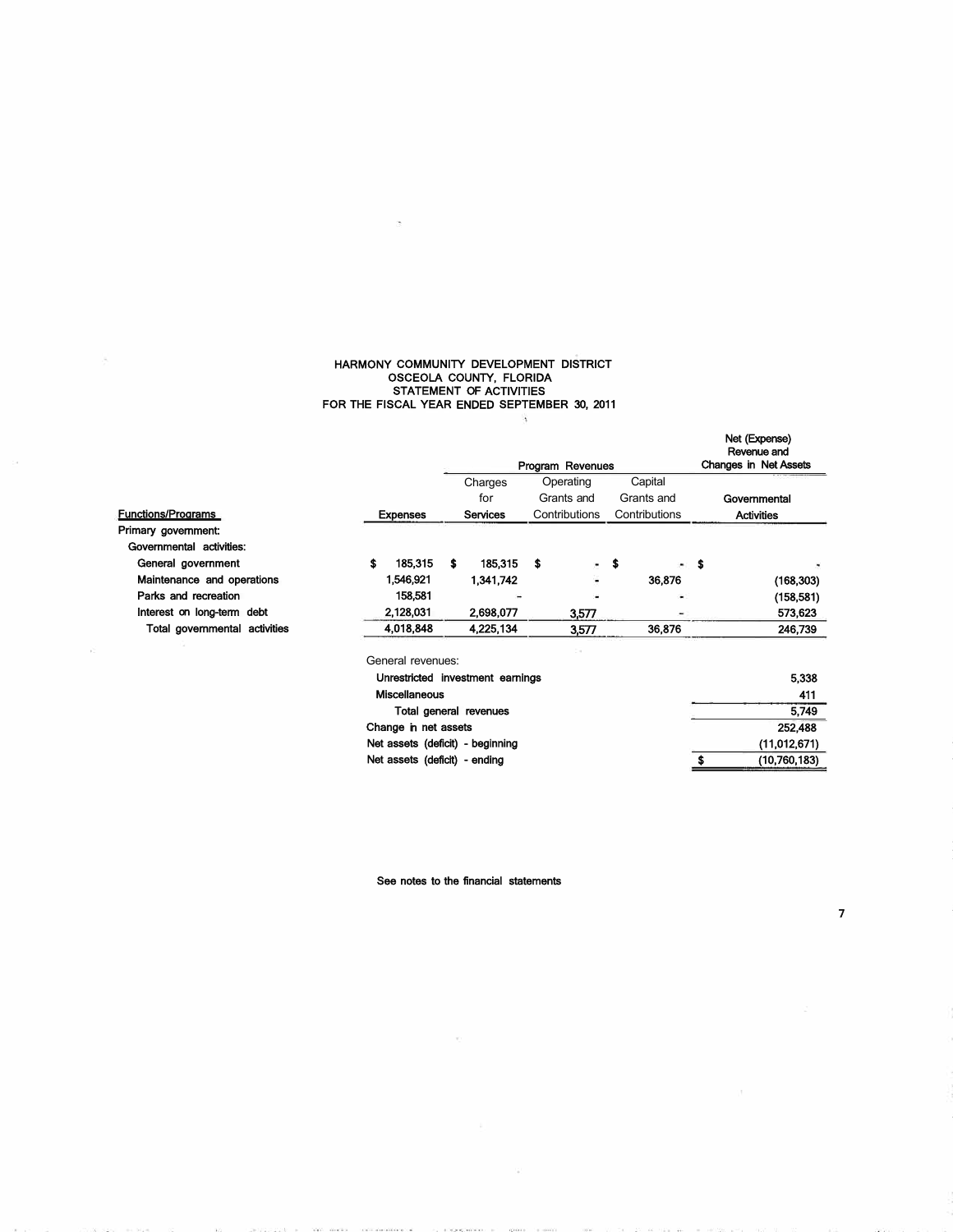#### HARMONY COMMUNITY DEVELOPMENT DISTRICT OSCEOLA COUNTY, FLORIDA STATEMENT OF ACTIVITIES FOR THE FISCAL YEAR ENDED SEPTEMBER 30, 2011

|                               |                      |   |                                  |      | Program Revenues               |            | Net (Expense)<br>Revenue and<br><b>Changes in Net Assets</b> |
|-------------------------------|----------------------|---|----------------------------------|------|--------------------------------|------------|--------------------------------------------------------------|
|                               |                      |   | Charges                          |      | Operating                      | Capital    |                                                              |
|                               |                      |   | for                              |      | Grants and                     | Grants and | Governmental                                                 |
| <b>Functions/Programs</b>     | <b>Expenses</b>      |   | <b>Services</b>                  |      | Contributions<br>Contributions |            | <b>Activities</b>                                            |
| Primary government:           |                      |   |                                  |      |                                |            |                                                              |
| Governmental activities:      |                      |   |                                  |      |                                |            |                                                              |
| General government            | \$<br>185,315        | s | 185,315                          | - \$ |                                | S.         | \$                                                           |
| Maintenance and operations    | 1,546,921            |   | 1,341,742                        |      |                                | 36,876     | (168, 303)                                                   |
| Parks and recreation          | 158,581              |   |                                  |      |                                |            | (158, 581)                                                   |
| Interest on long-term debt    | 2,128,031            |   | 2,698,077                        |      | 3,577                          | ۰          | 573,623                                                      |
| Total governmental activities | 4,018,848            |   | 4,225,134                        |      | 3,577                          | 36,876     | 246,739                                                      |
|                               | General revenues:    |   |                                  |      |                                |            |                                                              |
|                               |                      |   | Unrestricted investment earnings |      |                                |            | 5,338                                                        |
|                               | <b>Miscellaneous</b> |   |                                  |      |                                |            | 411                                                          |
|                               |                      |   | Total general revenues           |      |                                |            | 5,749                                                        |
|                               | Change in net assets |   |                                  |      |                                |            | 252.488                                                      |

See notes to the financial statements

 $\langle \hat{m} \rangle$ 

Net assets (deficit) - beginning Net assets (deficit) - ending

7

(11,012,671) (10,760,183)

 $\overline{\bullet}$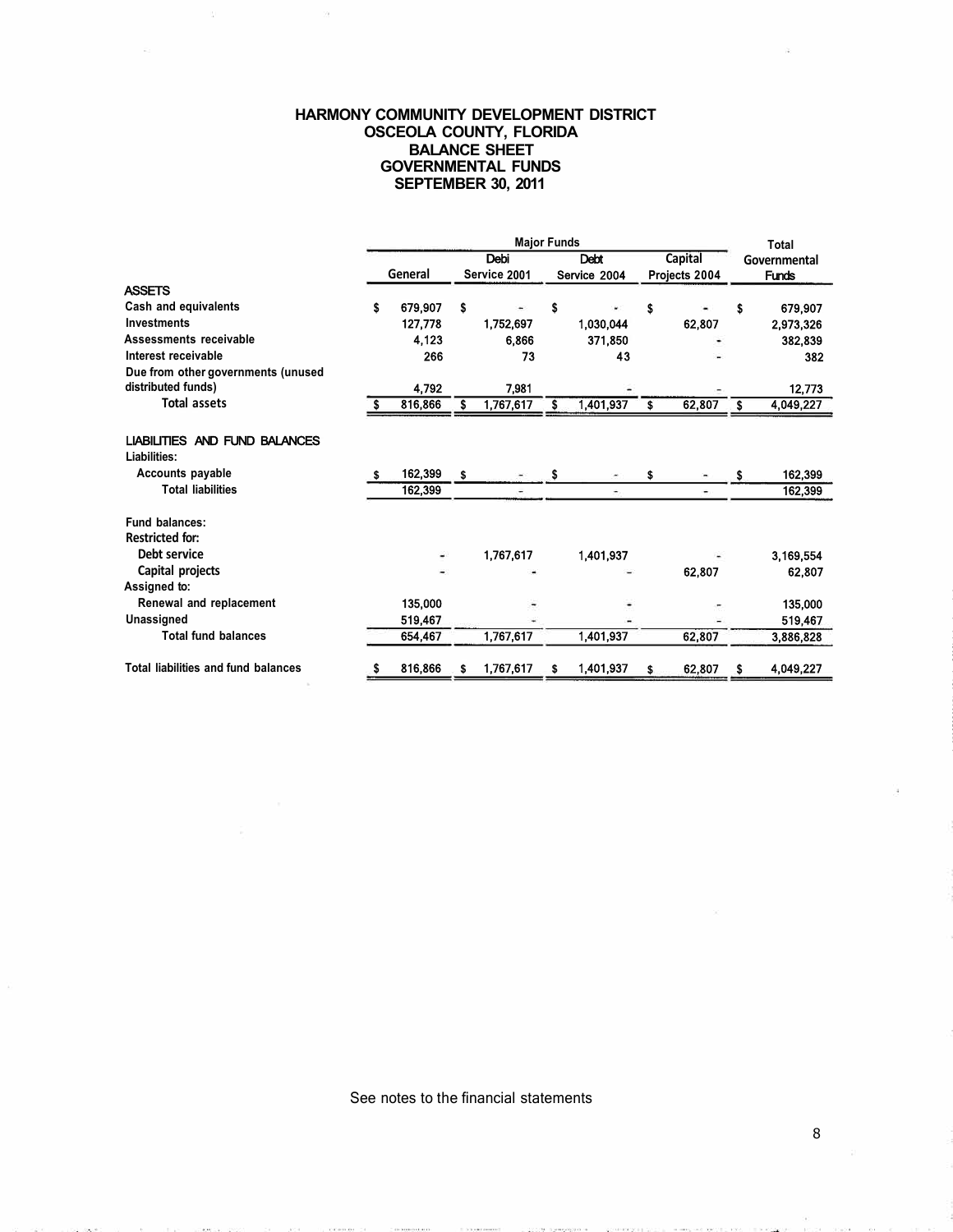# **HARMONY COMMUNITY DEVELOPMENT DISTRICT OSCEOLA COUNTY, FLORIDA BALANCE SHEET GOVERNMENTAL FUNDS SEPTEMBER 30, 2011**

|                                                                          | <b>Major Funds</b> |         |    |              |    |              |    | <b>Total</b>  |   |              |
|--------------------------------------------------------------------------|--------------------|---------|----|--------------|----|--------------|----|---------------|---|--------------|
|                                                                          |                    |         |    | Debi         |    | Debt         |    | Capital       |   | Governmental |
|                                                                          |                    | General |    | Service 2001 |    | Service 2004 |    | Projects 2004 |   | <b>Funds</b> |
| <b>ASSETS</b>                                                            |                    |         |    |              |    |              |    |               |   |              |
| Cash and equivalents                                                     | \$                 | 679,907 | \$ |              | \$ |              | \$ |               | S | 679,907      |
| <b>Investments</b>                                                       |                    | 127.778 |    | 1.752.697    |    | 1.030.044    |    | 62,807        |   | 2,973,326    |
| Assessments receivable                                                   |                    | 4,123   |    | 6.866        |    | 371,850      |    |               |   | 382,839      |
| Interest receivable                                                      |                    | 266     |    | 73           |    | 43           |    |               |   | 382          |
| Due from other governments (unused                                       |                    |         |    |              |    |              |    |               |   |              |
| distributed funds)                                                       |                    | 4,792   |    | 7,981        |    |              |    |               |   | 12,773       |
| <b>Total assets</b>                                                      |                    | 816,866 |    | 1,767,617    |    | 1,401,937    | \$ | 62,807        |   | 4,049,227    |
| <b>LIABILITIES AND FUND BALANCES</b><br>Liabilities:<br>Accounts payable |                    | 162,399 | Ŝ. |              |    |              | \$ |               |   | 162,399      |
| <b>Total liabilities</b>                                                 |                    | 162,399 |    |              |    | ۰.           |    | ٠.            |   | 162,399      |
| Fund balances:                                                           |                    |         |    |              |    |              |    |               |   |              |
| <b>Restricted for:</b>                                                   |                    |         |    |              |    |              |    |               |   |              |
| Debt service                                                             |                    |         |    | 1,767,617    |    | 1,401,937    |    |               |   | 3,169,554    |
| Capital projects                                                         |                    |         |    |              |    |              |    | 62,807        |   | 62,807       |
| Assigned to:                                                             |                    |         |    |              |    |              |    |               |   |              |
| Renewal and replacement                                                  |                    | 135,000 |    |              |    |              |    |               |   | 135,000      |
| Unassigned                                                               |                    | 519,467 |    |              |    |              |    |               |   | 519,467      |
| <b>Total fund balances</b>                                               |                    | 654,467 |    | 1,767,617    |    | 1,401,937    |    | 62,807        |   | 3,886,828    |
| <b>Total liabilities and fund balances</b>                               | s                  | 816,866 | \$ | 1,767,617    | \$ | 1,401,937    | \$ | 62,807        | s | 4,049,227    |

See notes to the financial statements

DISCIPLIED PROPERTY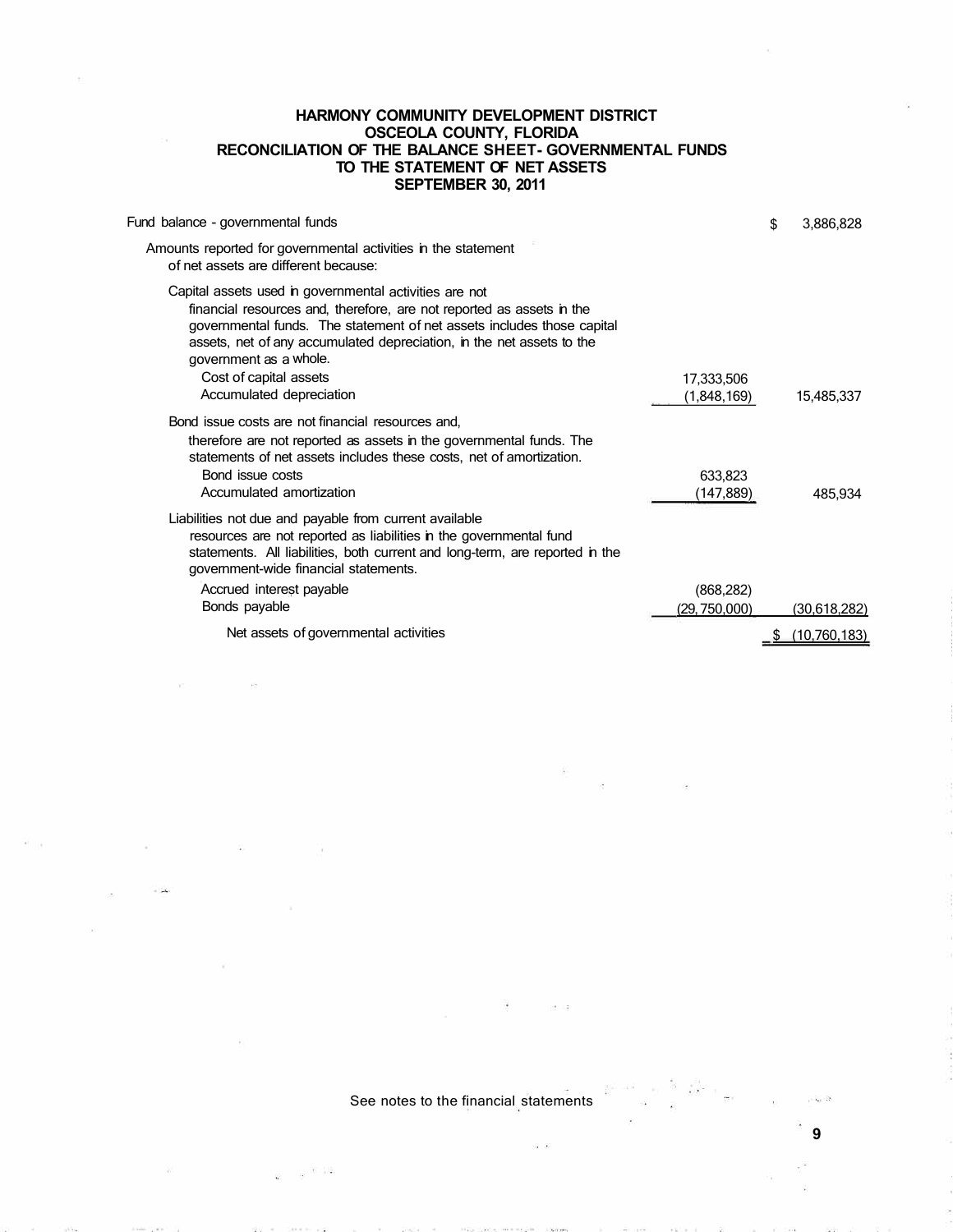# **HARMONY COMMUNITY DEVELOPMENT DISTRICT OSCEOLA COUNTY, FLORIDA RECONCILIATION OF THE BALANCE SHEET- GOVERNMENTAL FUNDS TO THE STATEMENT OF NET ASSETS SEPTEMBER 30, 2011**

| Fund balance - governmental funds                                                                                                                                                                                                                                                                            |                       | \$ | 3,886,828    |
|--------------------------------------------------------------------------------------------------------------------------------------------------------------------------------------------------------------------------------------------------------------------------------------------------------------|-----------------------|----|--------------|
| Amounts reported for governmental activities in the statement<br>of net assets are different because:                                                                                                                                                                                                        |                       |    |              |
| Capital assets used in governmental activities are not<br>financial resources and, therefore, are not reported as assets in the<br>governmental funds. The statement of net assets includes those capital<br>assets, net of any accumulated depreciation, in the net assets to the<br>government as a whole. |                       |    |              |
| Cost of capital assets                                                                                                                                                                                                                                                                                       | 17,333,506            |    |              |
| Accumulated depreciation                                                                                                                                                                                                                                                                                     | (1,848,169).          |    | 15,485,337   |
| Bond issue costs are not financial resources and,<br>therefore are not reported as assets in the governmental funds. The<br>statements of net assets includes these costs, net of amortization.<br>Bond issue costs<br>Accumulated amortization                                                              | 633,823<br>(147, 889) |    | 485,934      |
| Liabilities not due and payable from current available<br>resources are not reported as liabilities in the governmental fund<br>statements. All liabilities, both current and long-term, are reported in the<br>government-wide financial statements.                                                        |                       |    |              |
| Accrued interest payable                                                                                                                                                                                                                                                                                     | (868, 282)            |    |              |
| Bonds payable                                                                                                                                                                                                                                                                                                | (29, 750,000)         |    | (30,618,282) |
| Net assets of governmental activities                                                                                                                                                                                                                                                                        |                       | S  | (10,760,183) |

See notes to the financial statements

2010

 $\omega = -\omega^{-30.112}$ 

湿

 $\tilde{\omega}$   $\tilde{\omega}$ 

s<br>Sisilin<sub>e</sub>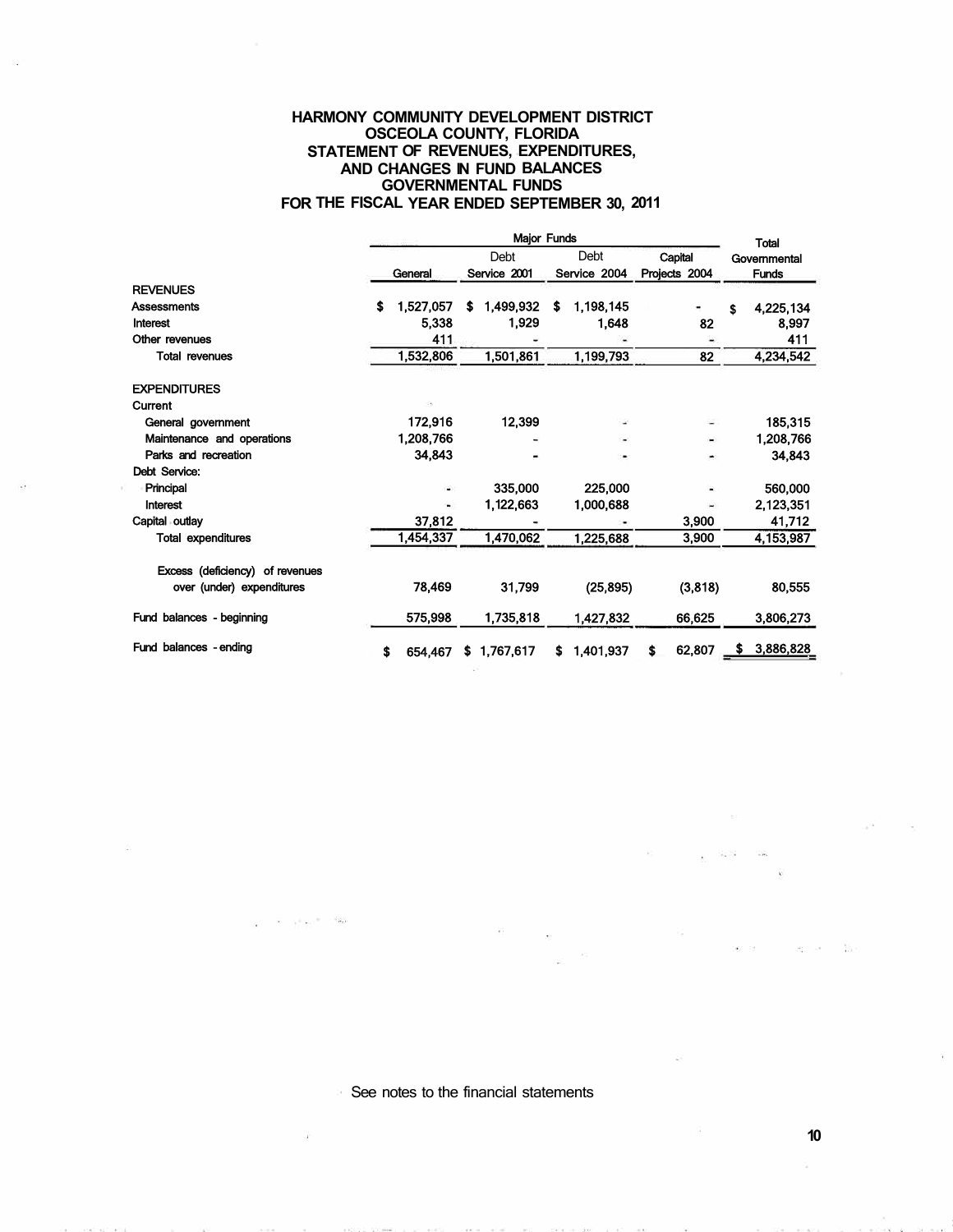# **HARMONY COMMUNITY DEVELOPMENT DISTRICT OSCEOLA COUNTY, FLORIDA STATEMENT OF REVENUES, EXPENDITURES, AND CHANGES IN FUND BALANCES GOVERNMENTAL FUNDS FOR THE FISCAL YEAR ENDED SEPTEMBER 30, 2011**

|                                 | Major Funds     |   |                      |    |                      |   |                          | <b>Total</b> |                              |  |
|---------------------------------|-----------------|---|----------------------|----|----------------------|---|--------------------------|--------------|------------------------------|--|
|                                 | General         |   | Debt<br>Service 2001 |    | Debt<br>Service 2004 |   | Capital<br>Projects 2004 |              | Governmental<br><b>Funds</b> |  |
| <b>REVENUES</b>                 |                 |   |                      |    |                      |   |                          |              |                              |  |
| Assessments                     | \$<br>1,527,057 | S | 1,499,932            | s. | 1,198,145            |   |                          | \$           | 4,225,134                    |  |
| Interest                        | 5.338           |   | 1.929                |    | 1,648                |   | 82                       |              | 8,997                        |  |
| Other revenues                  | 411             |   |                      |    |                      |   |                          |              | 411                          |  |
| <b>Total revenues</b>           | 1,532,806       |   | 1,501,861            |    | 1,199,793            |   | 82                       |              | 4,234,542                    |  |
| <b>EXPENDITURES</b>             |                 |   |                      |    |                      |   |                          |              |                              |  |
| Current                         |                 |   |                      |    |                      |   |                          |              |                              |  |
| General government              | 172,916         |   | 12,399               |    |                      |   | u                        |              | 185,315                      |  |
| Maintenance and operations      | 1,208,766       |   |                      |    |                      |   | ۰                        |              | 1,208,766                    |  |
| Parks and recreation            | 34,843          |   |                      |    |                      |   |                          |              | 34.843                       |  |
| Debt Service:                   |                 |   |                      |    |                      |   |                          |              |                              |  |
| Principal                       |                 |   | 335,000              |    | 225,000              |   |                          |              | 560,000                      |  |
| Interest                        |                 |   | 1,122,663            |    | 1,000,688            |   |                          |              | 2,123,351                    |  |
| Capital outlay                  | 37,812          |   |                      |    |                      |   | 3,900                    |              | 41,712                       |  |
| <b>Total expenditures</b>       | 1,454,337       |   | 1,470,062            |    | 1,225,688            |   | 3,900                    |              | 4,153,987                    |  |
| Excess (deficiency) of revenues |                 |   |                      |    |                      |   |                          |              |                              |  |
| over (under) expenditures       | 78,469          |   | 31,799               |    | (25, 895)            |   | (3,818)                  |              | 80.555                       |  |
| Fund balances - beginning       | 575,998         |   | 1,735,818            |    | 1,427,832            |   | 66,625                   |              | 3,806,273                    |  |
| Fund balances - ending          | \$<br>654.467   | s | 1,767,617            | S  | 1,401,937            | s | 62,807                   |              | \$3,886,828                  |  |

See notes to the financial statements

 $\mathcal{Q}=\varphi_{\mathcal{Q},\mathcal{Q}}(0)$  . Since

Ÿ

 $\mathcal{A}_k = \mathcal{A}_k = \mathcal{A}_k$  .

 $\epsilon_1=0.222$ 

GSA EX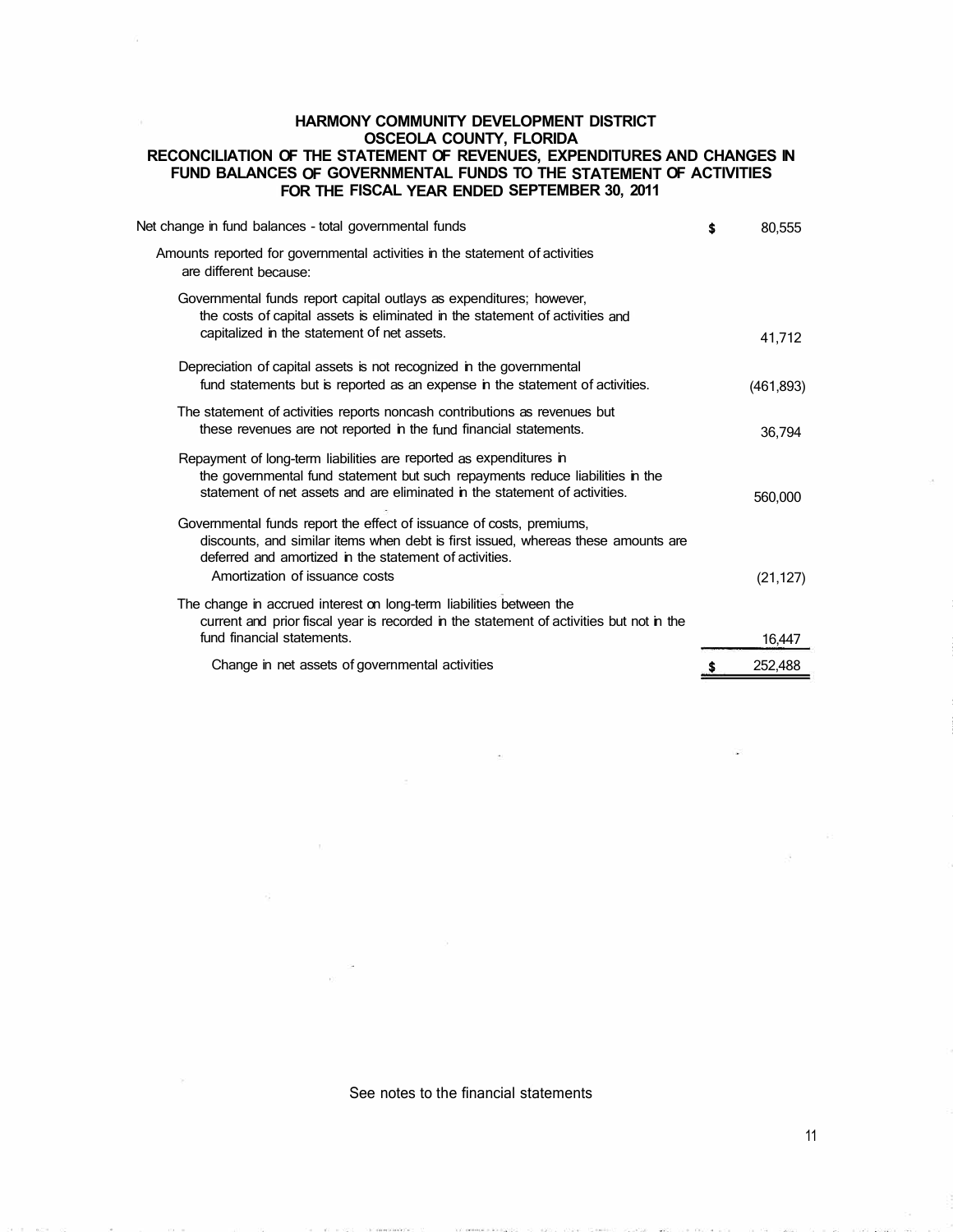# **HARMONY COMMUNITY DEVELOPMENT DISTRICT OSCEOLA COUNTY, FLORIDA RECONCILIATION OF THE STATEMENT OF REVENUES, EXPENDITURES AND CHANGES IN FUND BALANCES OF GOVERNMENTAL FUNDS TO THE STATEMENT OF ACTIVITIES FOR THE FISCAL YEAR ENDED SEPTEMBER 30, 2011**

| Net change in fund balances - total governmental funds                                                                                                                                                                                                | \$<br>80,555 |
|-------------------------------------------------------------------------------------------------------------------------------------------------------------------------------------------------------------------------------------------------------|--------------|
| Amounts reported for governmental activities in the statement of activities<br>are different because:                                                                                                                                                 |              |
| Governmental funds report capital outlays as expenditures; however,<br>the costs of capital assets is eliminated in the statement of activities and<br>capitalized in the statement of net assets.                                                    | 41,712       |
| Depreciation of capital assets is not recognized in the governmental<br>fund statements but is reported as an expense in the statement of activities.                                                                                                 | (461, 893)   |
| The statement of activities reports noncash contributions as revenues but<br>these revenues are not reported in the fund financial statements.                                                                                                        | 36,794       |
| Repayment of long-term liabilities are reported as expenditures in<br>the governmental fund statement but such repayments reduce liabilities in the<br>statement of net assets and are eliminated in the statement of activities.                     | 560,000      |
| Governmental funds report the effect of issuance of costs, premiums,<br>discounts, and similar items when debt is first issued, whereas these amounts are<br>deferred and amortized in the statement of activities.<br>Amortization of issuance costs | (21, 127)    |
| The change in accrued interest on long-term liabilities between the<br>current and prior fiscal year is recorded in the statement of activities but not in the<br>fund financial statements.                                                          | 16,447       |
| Change in net assets of governmental activities                                                                                                                                                                                                       | 252,488      |

## See notes to the financial statements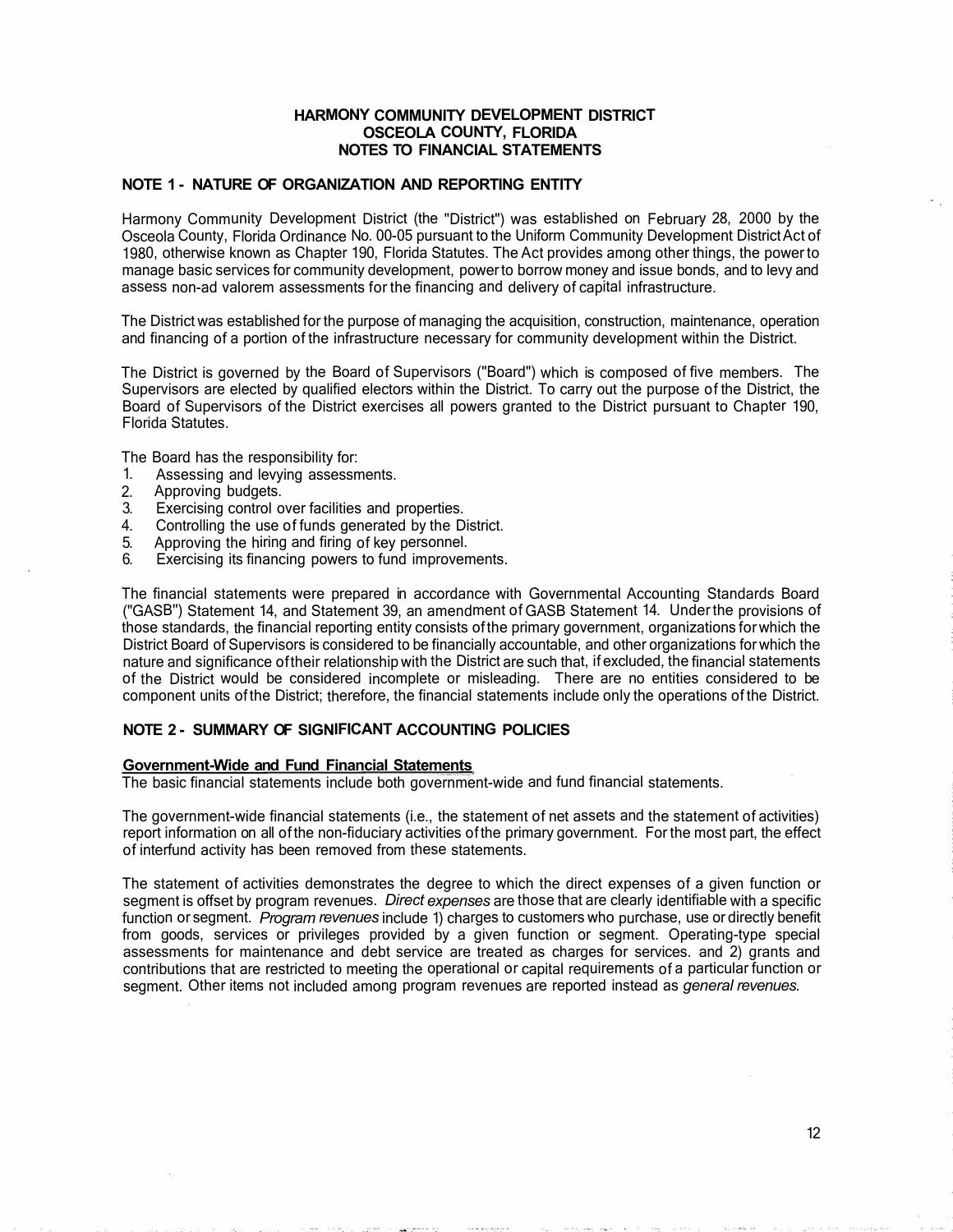# **HARMONY COMMUNITY DEVELOPMENT DISTRICT OSCEOLA COUNTY, FLORIDA NOTES TO FINANCIAL STATEMENTS**

## **NOTE 1 - NATURE OF ORGANIZATION AND REPORTING ENTITY**

Harmony Community Development District (the "District") was established on February 28, 2000 by the Osceola County, Florida Ordinance No. 00-05 pursuant to the Uniform Community Development District Act of 1980, otherwise known as Chapter 190, Florida Statutes. The Act provides among other things, the power to manage basic services for community development, power to borrow money and issue bonds, and to levy and assess non-ad valorem assessments for the financing and delivery of capital infrastructure.

The District was established for the purpose of managing the acquisition, construction, maintenance, operation and financing of a portion of the infrastructure necessary for community development within the District.

The District is governed by the Board of Supervisors ("Board") which is composed of five members. The Supervisors are elected by qualified electors within the District. To carry out the purpose of the District, the Board of Supervisors of the District exercises all powers granted to the District pursuant to Chapter 190, Florida Statutes.

The Board has the responsibility for:

- 1. Assessing and levying assessments.<br>2. Approving budgets.
- 2. Approving budgets.<br>3. Exercising control of
- Exercising control over facilities and properties.
- 4. Controlling the use of funds generated by the District.<br>5. Approving the hiring and firing of key personnel.
- 5. Approving the hiring and firing of key personnel.<br>6. Exercising its financing powers to fund improven
- Exercising its financing powers to fund improvements.

The financial statements were prepared in accordance with Governmental Accounting Standards Board ("GASB'') Statement 14, and Statement 39, an amendment of GASB Statement 14. Under the provisions of those standards, the financial reporting entity consists of the primary government, organizations for which the District Board of Supervisors is considered to be financially accountable, and other organizations for which the nature and significance of their relationship with the District are such that, if excluded, the financial statements of the District would be considered incomplete or misleading. There are no entities considered to be component units of the District; therefore, the financial statements include only the operations of the District.

# **NOTE 2 - SUMMARY OF SIGNIFICANT ACCOUNTING POLICIES**

## **Government-Wide and Fund Financial Statements**

The basic financial statements include both government-wide and fund financial statements.

The government-wide financial statements (i.e., the statement of net assets and the statement of activities) report information on all of the non-fiduciary activities of the primary government. For the most part, the effect of interfund activity has been removed from these statements.

The statement of activities demonstrates the degree to which the direct expenses of a given function or segment is offset by program revenues. *Direct expenses* are those that are clearly identifiable with a specific function or segment. *Program revenues* include 1) charges to customers who purchase, use or directly benefit from goods, services or privileges provided by a given function or segment. Operating-type special assessments for maintenance and debt service are treated as charges for services. and 2) grants and contributions that are restricted to meeting the operational or capital requirements of a particular function or segment. Other items not included among program revenues are reported instead as *general revenues.*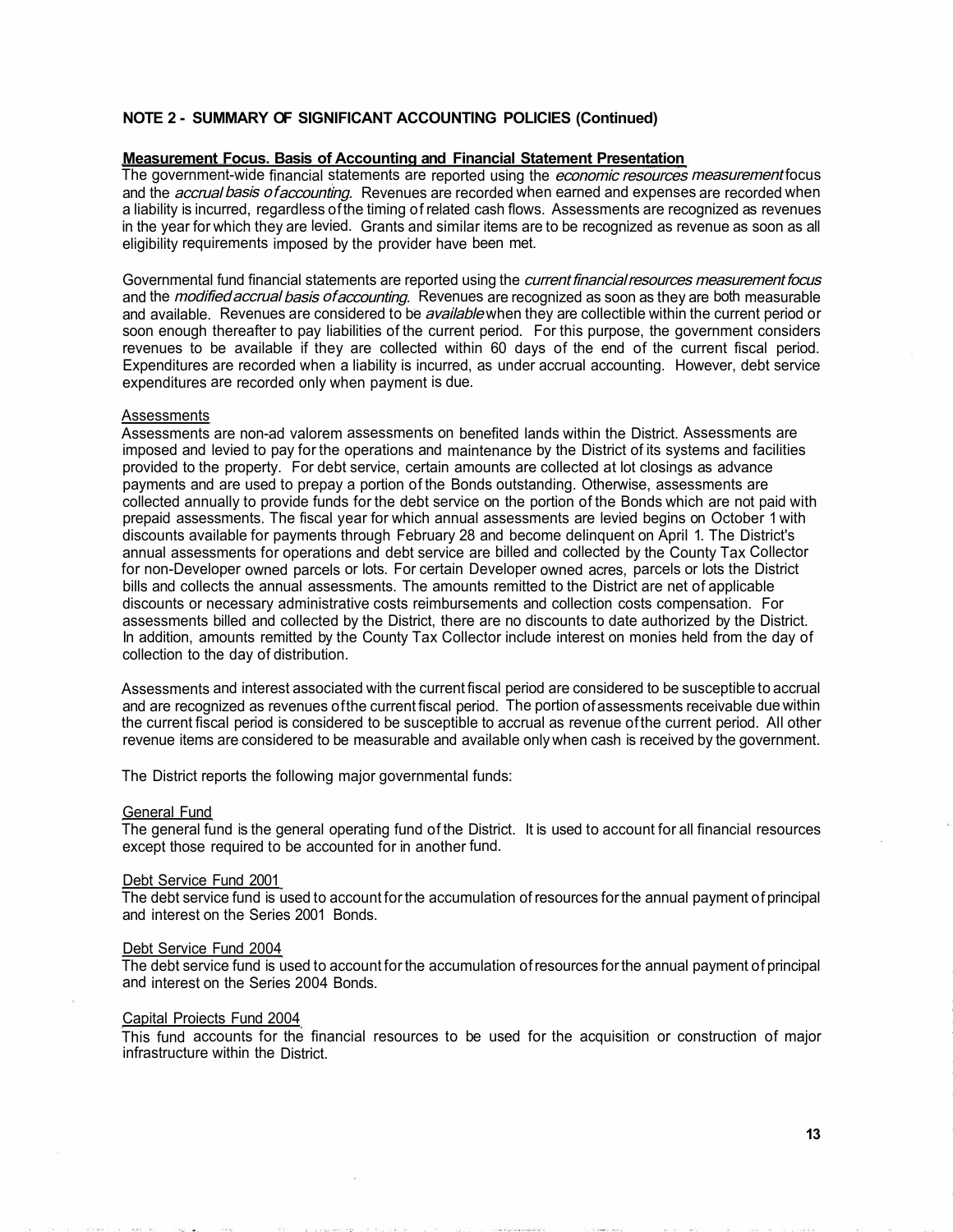## **Measurement Focus. Basis of Accounting and Financial Statement Presentation**

The government-wide financial statements are reported using the *economic resources measurement* focus and the *accrual basis of accounting*. Revenues are recorded when earned and expenses are recorded when a liability is incurred, regardless of the timing of related cash flows. Assessments are recognized as revenues in the year for which they are levied. Grants and similar items are to be recognized as revenue as soon as all eligibility requirements imposed by the provider have been met.

Governmental fund financial statements are reported using the *current financial resources measurement focus* and the *modified accrual basis of accounting*. Revenues are recognized as soon as they are both measurable and available. Revenues are considered to be *available* when they are collectible within the current period or soon enough thereafter to pay liabilities of the current period. For this purpose, the government considers revenues to be available if they are collected within 60 days of the end of the current fiscal period. Expenditures are recorded when a liability is incurred, as under accrual accounting. However, debt service expenditures are recorded only when payment is due.

## Assessments

Assessments are non-ad valorem assessments on benefited lands within the District. Assessments are imposed and levied to pay for the operations and maintenance by the District of its systems and facilities provided to the property. For debt service, certain amounts are collected at lot closings as advance payments and are used to prepay a portion of the Bonds outstanding. Otherwise, assessments are collected annually to provide funds for the debt service on the portion of the Bonds which are not paid with prepaid assessments. The fiscal year for which annual assessments are levied begins on October 1 with discounts available for payments through February 28 and become delinquent on April 1. The District's annual assessments for operations and debt service are billed and collected by the County Tax Collector for non-Developer owned parcels or lots. For certain Developer owned acres, parcels or lots the District bills and collects the annual assessments. The amounts remitted to the District are net of applicable discounts or necessary administrative costs reimbursements and collection costs compensation. For assessments billed and collected by the District, there are no discounts to date authorized by the District. In addition, amounts remitted by the County Tax Collector include interest on monies held from the day of collection to the day of distribution.

Assessments and interest associated with the current fiscal period are considered to be susceptible to accrual and are recognized as revenues of the current fiscal period. The portion of assessments receivable due within the current fiscal period is considered to be susceptible to accrual as revenue of the current period. All other revenue items are considered to be measurable and available only when cash is received by the government.

The District reports the following major governmental funds:

#### General Fund

The general fund is the general operating fund of the District. It is used to account for all financial resources except those required to be accounted for in another fund.

# Debt Service Fund 2001

The debt service fund is used to account for the accumulation of resources for the annual payment of principal and interest on the Series 2001 Bonds.

### Debt Service Fund 2004

The debt service fund is used to account for the accumulation of resources for the annual payment of principal and interest on the Series 2004 Bonds.

# Capital Proiects Fund 2004

This fund accounts for the financial resources to be used for the acquisition or construction of major infrastructure within the District.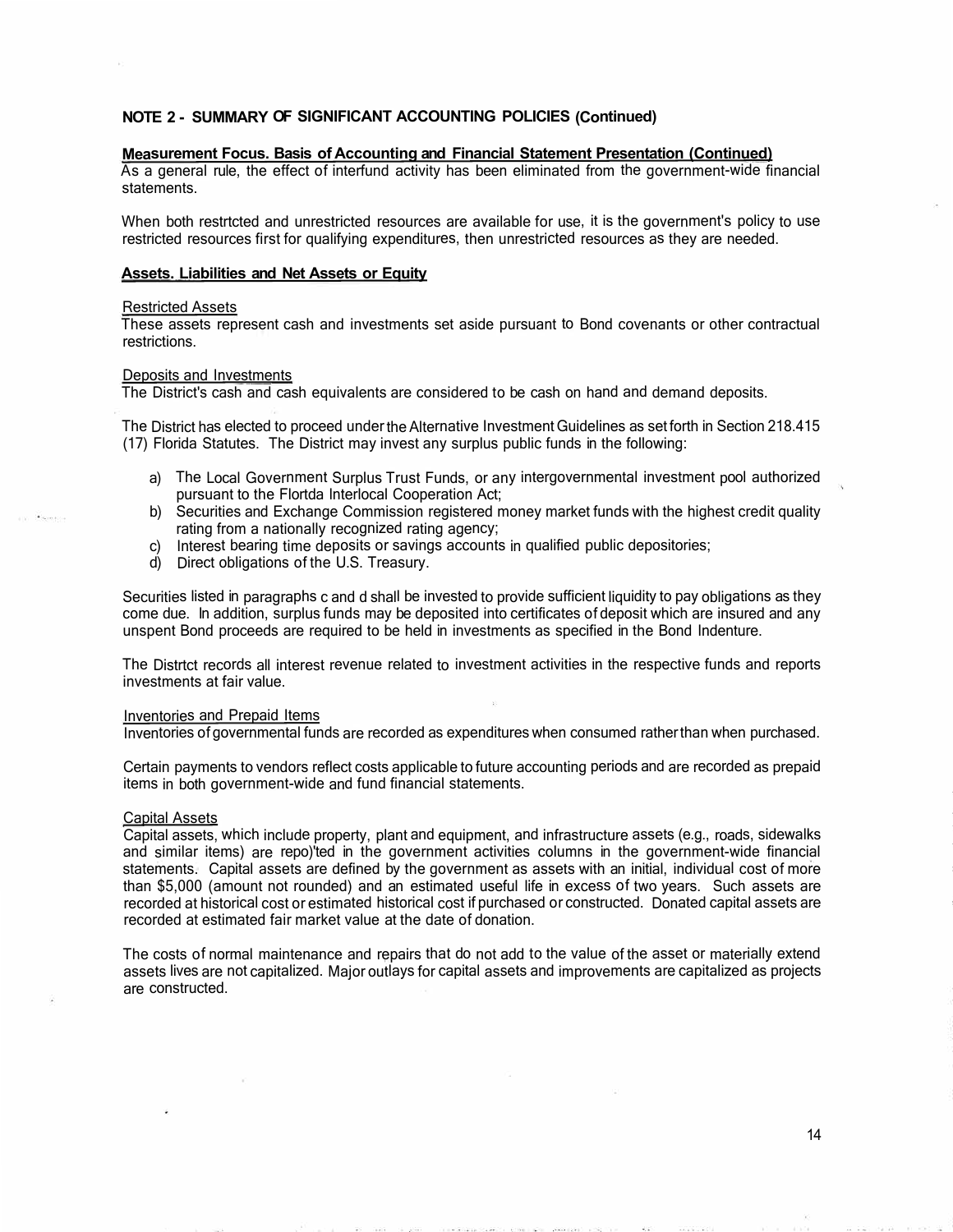## **Measurement Focus. Basis of Accounting and Financial Statement Presentation (Continued)**

As a general rule, the effect of interfund activity has been eliminated from the government-wide financial statements.

When both restrtcted and unrestricted resources are available for use, it is the government's policy to use restricted resources first for qualifying expenditures, then unrestricted resources as they are needed.

## **Assets. Liabilities and Net Assets or Equity**

### Restricted Assets

These assets represent cash and investments set aside pursuant to Bond covenants or other contractual restrictions.

# Deposits and Investments

The District's cash and cash equivalents are considered to be cash on hand and demand deposits.

The District has elected to proceed under the Alternative Investment Guidelines as set forth in Section 218.415 (17) Florida Statutes. The District may invest any surplus public funds in the following:

- a) The Local Government Surplus Trust Funds, or any intergovernmental investment pool authorized pursuant to the Flortda lnterlocal Cooperation Act;
- b) Securities and Exchange Commission registered money market funds with the highest credit quality rating from a nationally recognized rating agency;
- c) Interest bearing time deposits or savings accounts in qualified public depositories;
- d) Direct obligations of the U.S. Treasury.

Securities listed in paragraphs c and d shall be invested to provide sufficient liquidity to pay obligations as they come due. In addition, surplus funds may be deposited into certificates of deposit which are insured and any unspent Bond proceeds are required to be held in investments as specified in the Bond Indenture.

The Distrtct records all interest revenue related to investment activities in the respective funds and reports investments at fair value.

# Inventories and Prepaid Items

Inventories of governmental funds are recorded as expenditures when consumed rather than when purchased.

Certain payments to vendors reflect costs applicable to future accounting periods and are recorded as prepaid items in both government-wide and fund financial statements.

#### Capital Assets

Capital assets, which include property, plant and equipment, and infrastructure assets (e.g., roads, sidewalks and similar items) are repo)'ted in the government activities columns in the government-wide financial statements. Capital assets are defined by the government as assets with an initial, individual cost of more than \$5,000 (amount not rounded) and an estimated useful life in excess of two years. Such assets are recorded at historical cost or estimated historical cost if purchased or constructed. Donated capital assets are recorded at estimated fair market value at the date of donation.

The costs of normal maintenance and repairs that do not add to the value of the asset or materially extend assets lives are not capitalized. Major outlays for capital assets and improvements are capitalized as projects are constructed.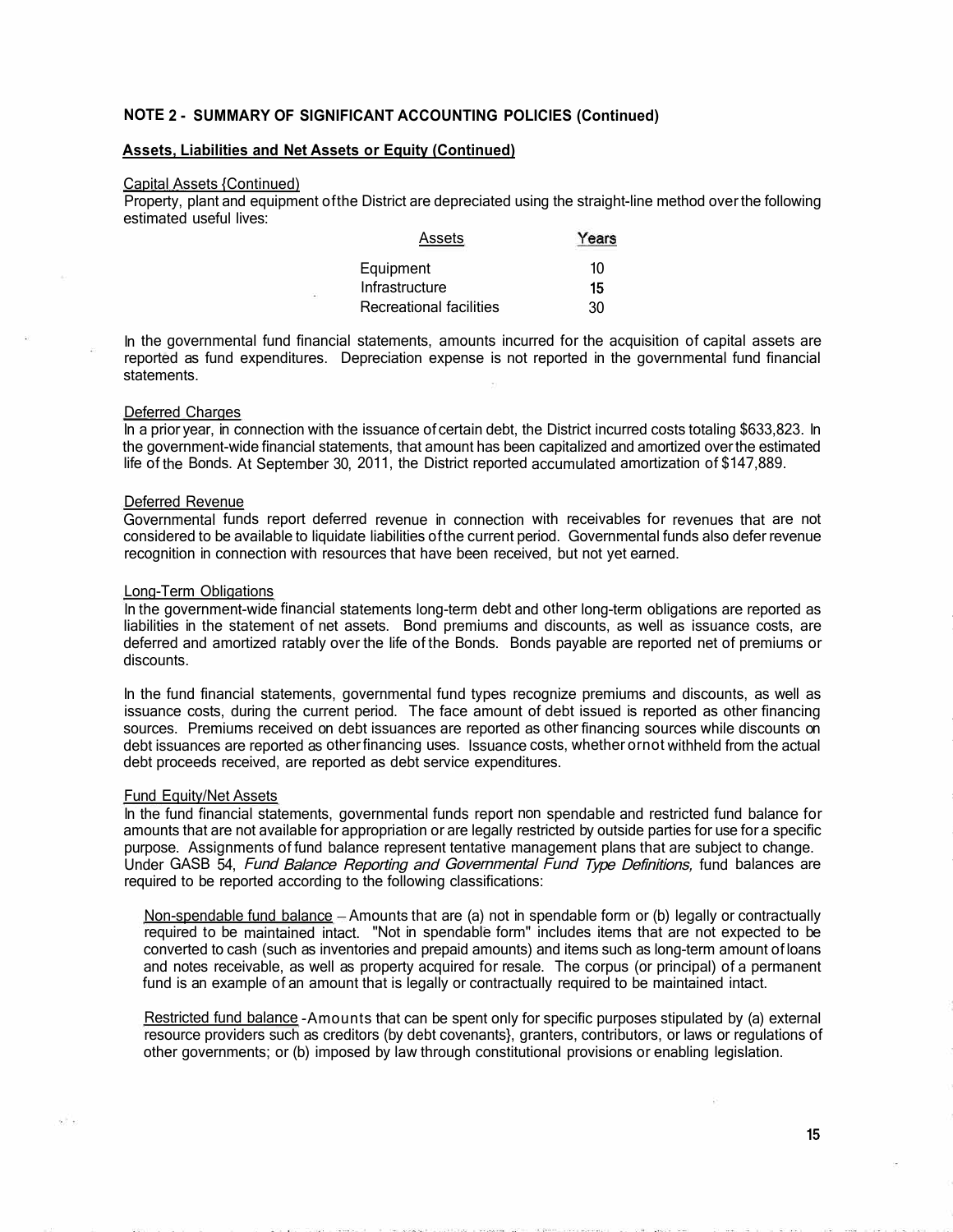# **Assets, Liabilities and Net Assets or Equity (Continued)**

### Capital Assets {Continued)

Property, plant and equipment of the District are depreciated using the straight-line method over the following estimated useful lives:

| Assets                  | Years |
|-------------------------|-------|
| Equipment               | 10    |
| Infrastructure          | 15    |
| Recreational facilities | 30    |

In the governmental fund financial statements, amounts incurred for the acquisition of capital assets are reported as fund expenditures. Depreciation expense is not reported in the governmental fund financial statements.

## Deferred Charges

In a prior year, in connection with the issuance of certain debt, the District incurred costs totaling \$633,823. In the government-wide financial statements, that amount has been capitalized and amortized over the estimated life of the Bonds. At September 30, 2011, the District reported accumulated amortization of \$147,889.

### Deferred Revenue

Governmental funds report deferred revenue in connection with receivables for revenues that are not considered to be available to liquidate liabilities of the current period. Governmental funds also defer revenue recognition in connection with resources that have been received, but not yet earned.

### Long-Term Obligations

In the government-wide financial statements long-term debt and other long-term obligations are reported as liabilities in the statement of net assets. Bond premiums and discounts, as well as issuance costs, are deferred and amortized ratably over the life of the Bonds. Bonds payable are reported net of premiums or discounts.

In the fund financial statements, governmental fund types recognize premiums and discounts, as well as issuance costs, during the current period. The face amount of debt issued is reported as other financing sources. Premiums received on debt issuances are reported as other financing sources while discounts on debt issuances are reported as other financing uses. Issuance costs, whether ornot withheld from the actual debt proceeds received, are reported as debt service expenditures.

### Fund Equity/Net Assets

In the fund financial statements, governmental funds report non spendable and restricted fund balance for amounts that are not available for appropriation or are legally restricted by outside parties for use for a specific purpose. Assignments of fund balance represent tentative management plans that are subject to change. Under GASB 54, Fund Balance Reporting and Governmental Fund Type Definitions, fund balances are required to be reported according to the following classifications:

Non-spendable fund balance  $-$  Amounts that are (a) not in spendable form or (b) legally or contractually required to be maintained intact. "Not in spendable form" includes items that are not expected to be converted to cash (such as inventories and prepaid amounts) and items such as long-term amount of loans and notes receivable, as well as property acquired for resale. The corpus (or principal) of a permanent fund is an example of an amount that is legally or contractually required to be maintained intact.

Restricted fund balance -Amounts that can be spent only for specific purposes stipulated by (a) external resource providers such as creditors (by debt covenants}, granters, contributors, or laws or regulations of other governments; or (b) imposed by law through constitutional provisions or enabling legislation.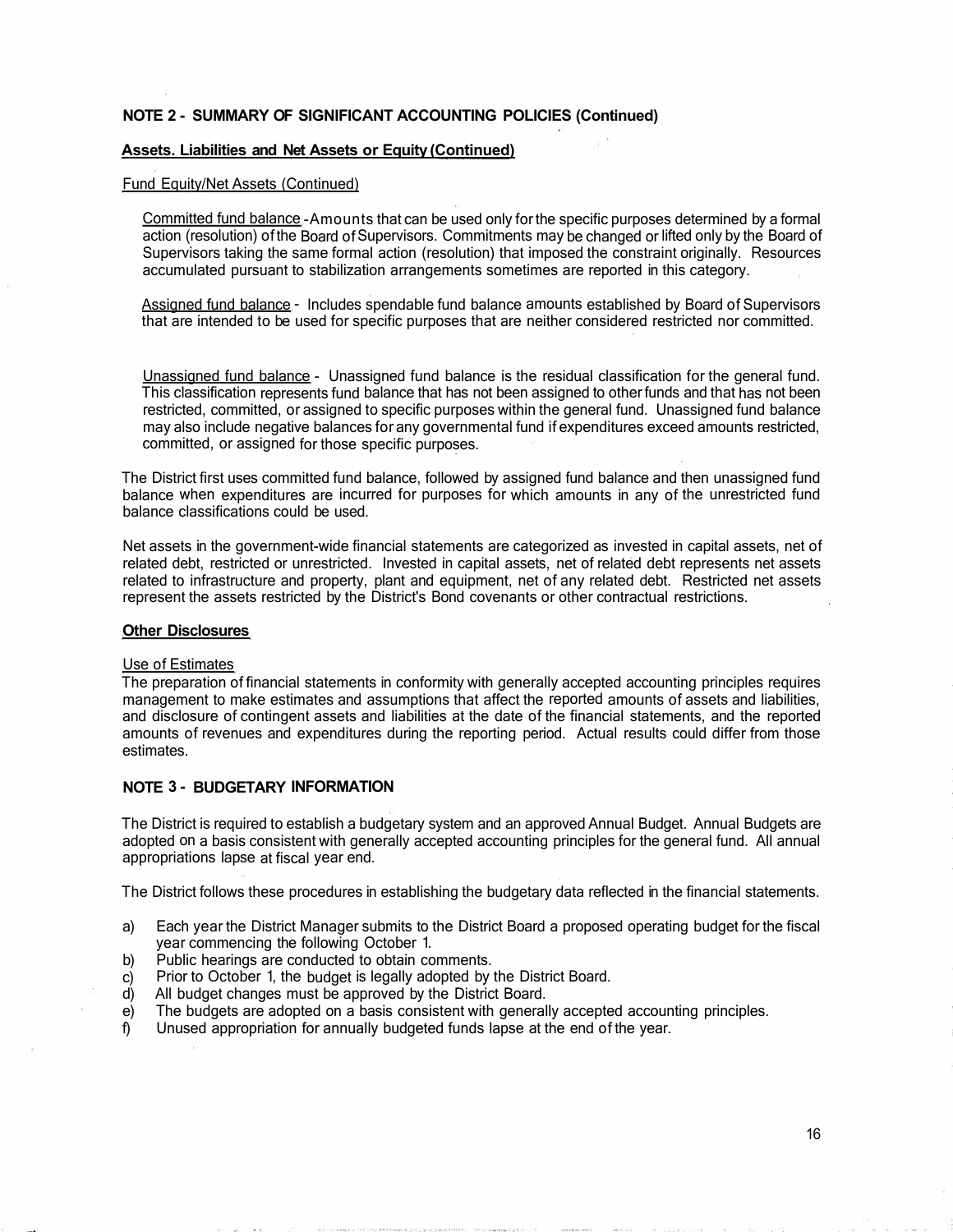## **Assets. Liabilities and Net Assets or Equity (Continued)**

## Fund Equity/Net Assets (Continued)

Committed fund balance -Amounts that can be used only for the specific purposes determined by a formal action (resolution) of the Board of Supervisors. Commitments may be changed or lifted only by the Board of Supervisors taking the same formal action (resolution) that imposed the constraint originally. Resources accumulated pursuant to stabilization arrangements sometimes are reported in this category.

Assigned fund balance - Includes spendable fund balance amounts established by Board of Supervisors that are intended to be used for specific purposes that are neither considered restricted nor committed.

Unassigned fund balance - Unassigned fund balance is the residual classification for the general fund. This classification represents fund balance that has not been assigned to other funds and that has not been restricted, committed, or assigned to specific purposes within the general fund. Unassigned fund balance may also include negative balances for any governmental fund if expenditures exceed amounts restricted, committed, or assigned for those specific purposes.

The District first uses committed fund balance, followed by assigned fund balance and then unassigned fund balance when expenditures are incurred for purposes for which amounts in any of the unrestricted fund balance classifications could be used.

Net assets in the government-wide financial statements are categorized as invested in capital assets, net of related debt, restricted or unrestricted. Invested in capital assets, net of related debt represents net assets related to infrastructure and property, plant and equipment, net of any related debt. Restricted net assets represent the assets restricted by the District's Bond covenants or other contractual restrictions.

## **Other Disclosures**

## Use of Estimates

The preparation of financial statements in conformity with generally accepted accounting principles requires management to make estimates and assumptions that affect the reported amounts of assets and liabilities, and disclosure of contingent assets and liabilities at the date of the financial statements, and the reported amounts of revenues and expenditures during the reporting period. Actual results could differ from those estimates.

## **NOTE 3 - BUDGETARY INFORMATION**

The District is required to establish a budgetary system and an approved Annual Budget. Annual Budgets are adopted on a basis consistent with generally accepted accounting principles for the general fund. All annual appropriations lapse at fiscal year end.

The District follows these procedures in establishing the budgetary data reflected in the financial statements.

- a) Each year the District Manager submits to the District Board a proposed operating budget for the fiscal year commencing the following October 1.
- b) Public hearings are conducted to obtain comments.
- c) Prior to October 1, the budget is legally adopted by the District Board.
- d) All budget changes must be approved by the District Board.
- e) The budgets are adopted on a basis consistent with generally accepted accounting principles.
- f) Unused appropriation for annually budgeted funds lapse at the end of the year.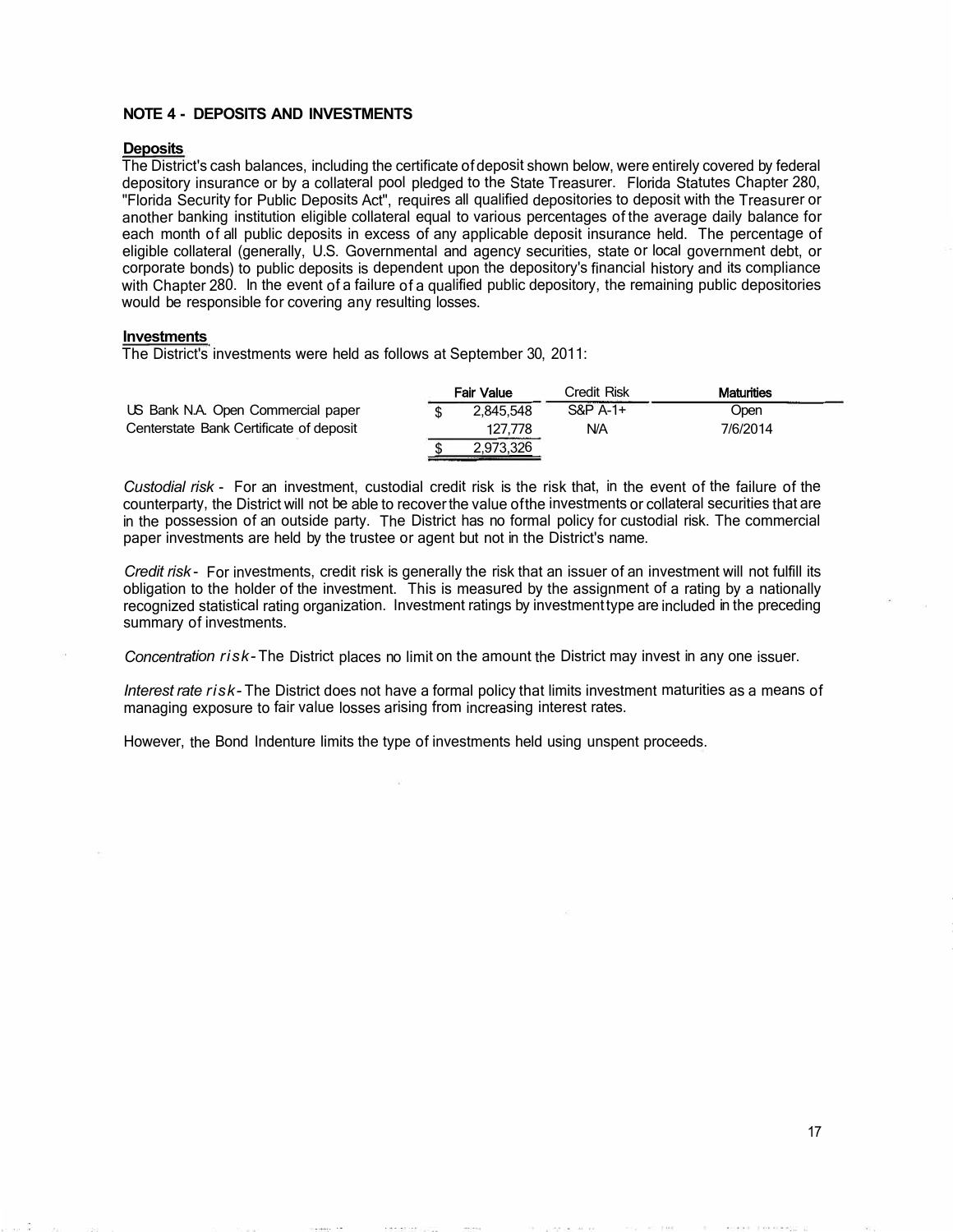# **NOTE 4 - DEPOSITS AND INVESTMENTS**

# **Deposits**

The District's cash balances, including the certificate of deposit shown below, were entirely covered by federal depository insurance or by a collateral pool pledged to the State Treasurer. Florida Statutes Chapter 280, "Florida Security for Public Deposits Act", requires all qualified depositories to deposit with the Treasurer or another banking institution eligible collateral equal to various percentages of the average daily balance for each month of all public deposits in excess of any applicable deposit insurance held. The percentage of eligible collateral (generally, U.S. Governmental and agency securities, state or local government debt, or corporate bonds) to public deposits is dependent upon the depository's financial history and its compliance with Chapter 280. In the event of a failure of a qualified public depository, the remaining public depositories would be responsible for covering any resulting losses.

### **Investments**

The District's investments were held as follows at September 30, 2011:

|                                         | <b>Fair Value</b> | Credit Risk | <b>Maturities</b> |
|-----------------------------------------|-------------------|-------------|-------------------|
| US Bank N.A. Open Commercial paper      | 2.845.548         | S&P A-1+    | Open              |
| Centerstate Bank Certificate of deposit | 127.778           | N/A         | 7/6/2014          |
|                                         | 2,973,326         |             |                   |

*Custodial risk* - For an investment, custodial credit risk is the risk that, in the event of the failure of the counterparty, the District will not be able to recover the value of the investments or collateral securities that are in the possession of an outside party. The District has no formal policy for custodial risk. The commercial paper investments are held by the trustee or agent but not in the District's name.

*Credit risk* - For investments, credit risk is generally the risk that an issuer of an investment will not fulfill its obligation to the holder of the investment. This is measured by the assignment of a rating by a nationally recognized statistical rating organization. Investment ratings by investment type are included in the preceding summary of investments.

*Concentration risk-* The District places no limit on the amount the District may invest in any one issuer.

*Interest rate risk-* The District does not have a formal policy that limits investment maturities as a means of managing exposure to fair value losses arising from increasing interest rates.

However, the Bond Indenture limits the type of investments held using unspent proceeds.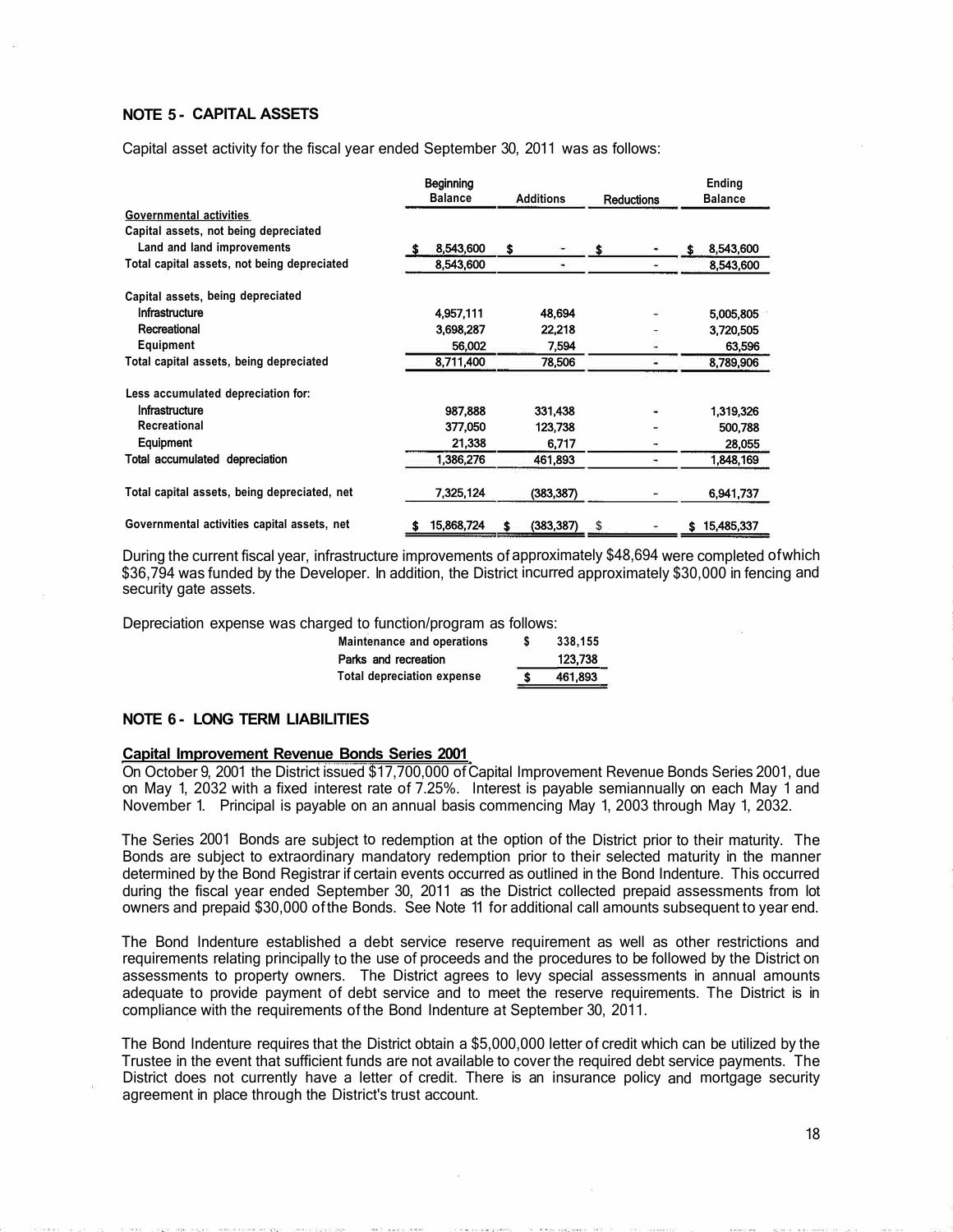## **NOTE 5 - CAPITAL ASSETS**

Capital asset activity for the fiscal year ended September 30, 2011 was as follows:

|                                              | Beginning<br><b>Balance</b> |            | <b>Additions</b> |            |    | <b>Reductions</b> | Ending<br><b>Balance</b> |              |  |
|----------------------------------------------|-----------------------------|------------|------------------|------------|----|-------------------|--------------------------|--------------|--|
| Governmental activities                      |                             |            |                  |            |    |                   |                          |              |  |
| Capital assets, not being depreciated        |                             |            |                  |            |    |                   |                          |              |  |
| Land and land improvements                   |                             | 8,543,600  | \$               |            | s  |                   | S                        | 8,543,600    |  |
| Total capital assets, not being depreciated  |                             | 8,543,600  |                  |            |    |                   |                          | 8,543,600    |  |
| Capital assets, being depreciated            |                             |            |                  |            |    |                   |                          |              |  |
| Infrastructure                               |                             | 4,957,111  |                  | 48,694     |    |                   |                          | 5,005,805    |  |
| Recreational                                 |                             | 3,698,287  |                  | 22,218     |    |                   |                          | 3,720,505    |  |
| Equipment                                    |                             | 56,002     |                  | 7,594      |    |                   |                          | 63,596       |  |
| Total capital assets, being depreciated      |                             | 8,711,400  |                  | 78,506     |    |                   |                          | 8,789,906    |  |
| Less accumulated depreciation for:           |                             |            |                  |            |    |                   |                          |              |  |
| Infrastructure                               |                             | 987,888    |                  | 331,438    |    |                   |                          | 1,319,326    |  |
| Recreational                                 |                             | 377,050    |                  | 123,738    |    |                   |                          | 500,788      |  |
| Equipment                                    |                             | 21,338     |                  | 6,717      |    |                   |                          | 28,055       |  |
| Total accumulated depreciation               |                             | 1.386,276  |                  | 461,893    |    |                   |                          | 1,848,169    |  |
| Total capital assets, being depreciated, net |                             | 7,325,124  |                  | (383, 387) |    |                   |                          | 6,941,737    |  |
| Governmental activities capital assets, net  |                             | 15,868,724 | \$               | (383, 387) | \$ |                   |                          | \$15,485,337 |  |

During the current fiscal year, infrastructure improvements of approximately \$48,694 were completed of which \$36,794 was funded by the Developer. In addition, the District incurred approximately \$30,000 in fencing and security gate assets.

Depreciation expense was charged to function/program as follows:

| Maintenance and operations        | \$<br>338.155 |
|-----------------------------------|---------------|
| Parks and recreation              | 123,738       |
| <b>Total depreciation expense</b> | 461.893       |

# **NOTE 6 - LONG TERM LIABILITIES**

### **Capital Improvement Revenue Bonds Series 2001**

On October 9, 2001 the District issued \$17,700,000 of Capital Improvement Revenue Bonds Series 2001, due on May 1, 2032 with a fixed interest rate of 7.25%. Interest is payable semiannually on each May 1 and November 1. Principal is payable on an annual basis commencing May 1, 2003 through May 1, 2032.

The Series 2001 Bonds are subject to redemption at the option of the District prior to their maturity. The Bonds are subject to extraordinary mandatory redemption prior to their selected maturity in the manner determined by the Bond Registrar if certain events occurred as outlined in the Bond Indenture. This occurred during the fiscal year ended September 30, 2011 as the District collected prepaid assessments from lot owners and prepaid \$30,000 of the Bonds. See Note 11 for additional call amounts subsequent to year end.

The Bond Indenture established a debt service reserve requirement as well as other restrictions and requirements relating principally to the use of proceeds and the procedures to be followed by the District on assessments to property owners. The District agrees to levy special assessments in annual amounts adequate to provide payment of debt service and to meet the reserve requirements. The District is in compliance with the requirements of the Bond Indenture at September 30, 2011.

The Bond Indenture requires that the District obtain a \$5,000,000 letter of credit which can be utilized by the Trustee in the event that sufficient funds are not available to cover the required debt service payments. The District does not currently have a letter of credit. There is an insurance policy and mortgage security agreement in place through the District's trust account.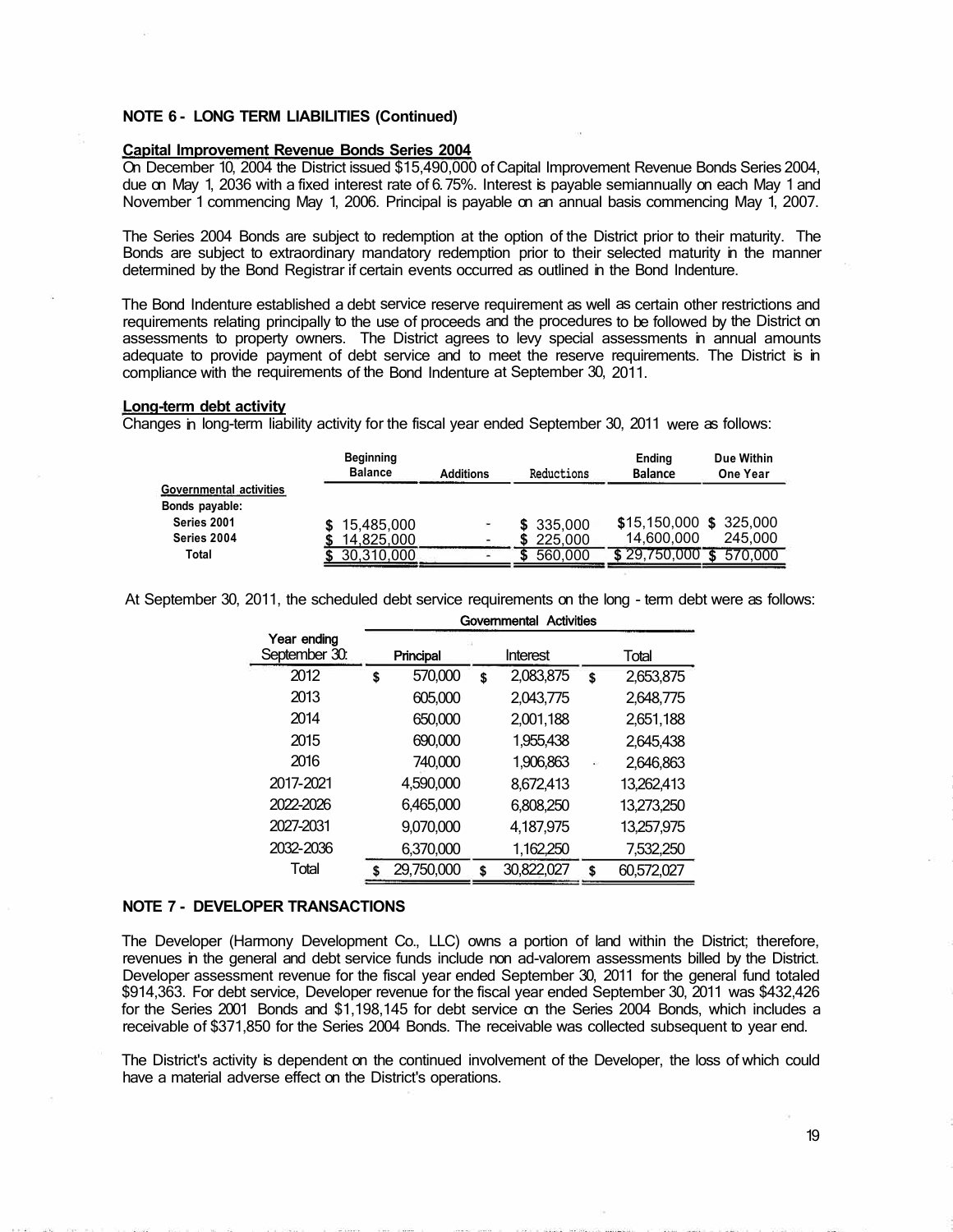## **NOTE 6 - LONG TERM LIABILITIES (Continued)**

# **Capital Improvement Revenue Bonds Series 2004**

On December 10, 2004 the District issued \$15,490,000 of Capital Improvement Revenue Bonds Series 2004, due on May 1, 2036 with a fixed interest rate of 6. 75%. Interest is payable semiannually on each May 1 and November 1 commencing May 1, 2006. Principal is payable on an annual basis commencing May 1, 2007.

The Series 2004 Bonds are subject to redemption at the option of the District prior to their maturity. The Bonds are subject to extraordinary mandatory redemption prior to their selected maturity in the manner determined by the Bond Registrar if certain events occurred as outlined in the Bond Indenture.

The Bond Indenture established a debt service reserve requirement as well as certain other restrictions and requirements relating principally to the use of proceeds and the procedures to be followed by the District on assessments to property owners. The District agrees to levy special assessments in annual amounts adequate to provide payment of debt service and to meet the reserve requirements. The District is in compliance with the requirements of the Bond Indenture at September 30, 2011.

# **Long-term debt activity**

Changes in long-term liability activity for the fiscal year ended September 30, 2011 were as follows:

| <b>Beginning</b><br><b>Balance</b> | <b>Additions</b> |         | Ending<br><b>Balance</b> | Due Within<br>One Year |  |  |
|------------------------------------|------------------|---------|--------------------------|------------------------|--|--|
|                                    |                  |         |                          |                        |  |  |
|                                    |                  |         |                          |                        |  |  |
|                                    |                  |         | $$15,150,000$ \$ 325,000 |                        |  |  |
| 14.825.000                         |                  | 225,000 | 14.600.000               | 245,000                |  |  |
| 30,310,000                         |                  | 560,000 | \$29.750.000             | 570.000                |  |  |
|                                    | \$15,485,000     |         | Reductions<br>\$335,000  |                        |  |  |

At September 30, 2011, the scheduled debt service requirements on the long - term debt were as follows:

|                              | <b>Activities</b><br>Governmental |                       |    |            |    |            |  |
|------------------------------|-----------------------------------|-----------------------|----|------------|----|------------|--|
| Year ending<br>September 30: |                                   | Interest<br>Principal |    |            |    | Total      |  |
| 2012                         | \$                                | 570,000               | \$ | 2,083,875  | \$ | 2,653,875  |  |
| 2013                         |                                   | 605,000               |    | 2,043,775  |    | 2,648,775  |  |
| 2014                         |                                   | 650,000               |    | 2,001,188  |    | 2,651,188  |  |
| 2015                         |                                   | 690,000               |    | 1,955,438  |    | 2,645,438  |  |
| 2016                         |                                   | 740,000               |    | 1,906,863  |    | 2,646,863  |  |
| 2017-2021                    |                                   | 4,590,000             |    | 8,672,413  |    | 13,262,413 |  |
| 2022-2026                    |                                   | 6,465,000             |    | 6,808,250  |    | 13,273,250 |  |
| 2027-2031                    |                                   | 9,070,000             |    | 4,187,975  |    | 13,257,975 |  |
| 2032-2036                    |                                   | 6,370,000             |    | 1,162,250  |    | 7,532,250  |  |
| Total                        |                                   | 29,750,000            | \$ | 30,822,027 | \$ | 60,572,027 |  |

### **NOTE 7 - DEVELOPER TRANSACTIONS**

The Developer (Harmony Development Co., LLC) owns a portion of land within the District; therefore, revenues in the general and debt service funds include non ad-valorem assessments billed by the District. Developer assessment revenue for the fiscal year ended September 30, 2011 for the general fund totaled \$914,363. For debt service, Developer revenue for the fiscal year ended September 30, 2011 was \$432,426 for the Series 2001 Bonds and \$1,198,145 for debt service on the Series 2004 Bonds, which includes a receivable of \$371,850 for the Series 2004 Bonds. The receivable was collected subsequent to year end.

The District's activity is dependent on the continued involvement of the Developer, the loss of which could have a material adverse effect on the District's operations.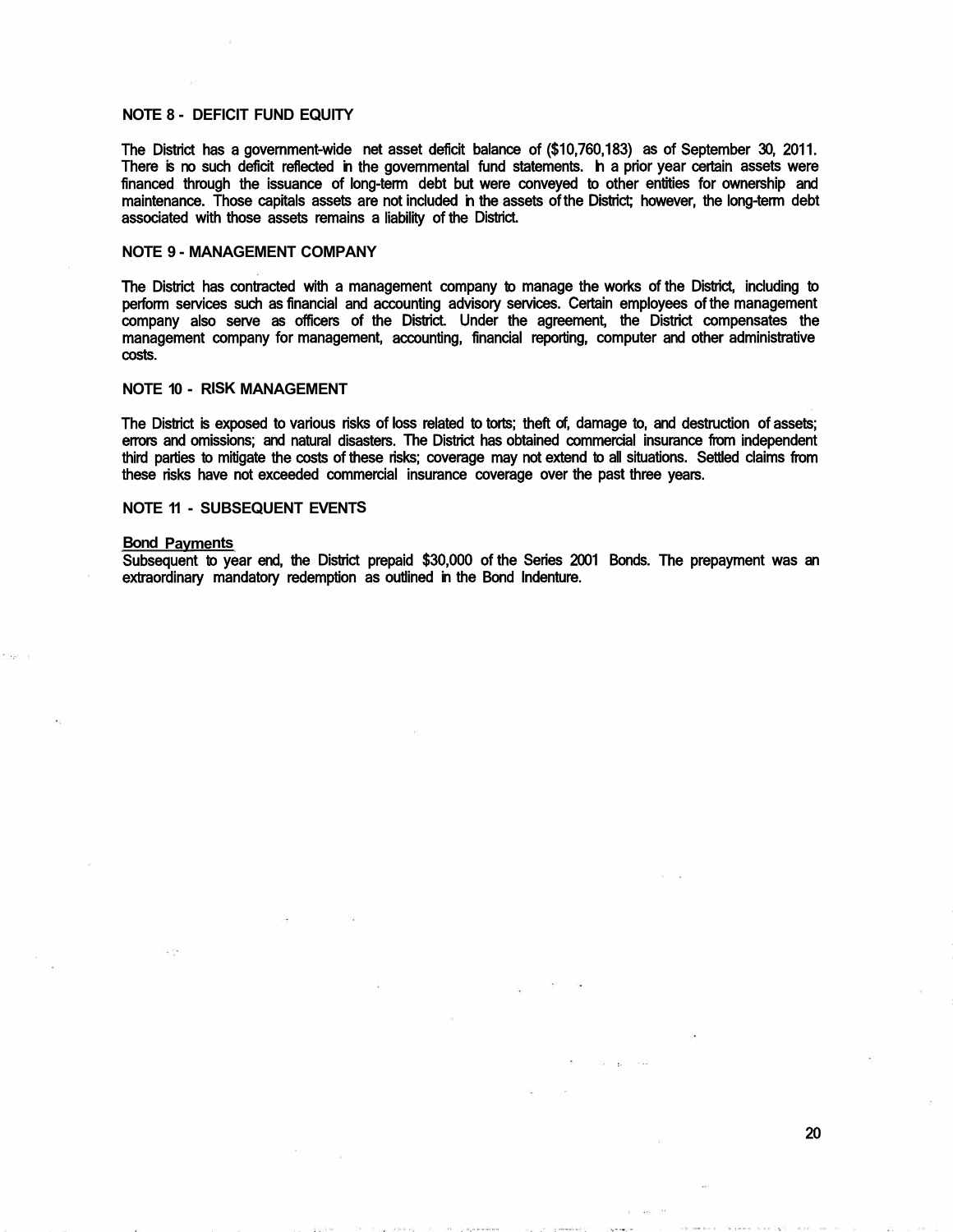## **NOTE 8 - DEFICIT FUND EQUITY**

The District has a government-wide net asset deficit balance of (\$10,760,183) as of September 30, 2011. There is no such deficit reflected in the governmental fund statements. In a prior year certain assets were financed through the issuance of long-term debt but were conveyed to other entities for ownership and maintenance. Those capitals assets are not included in the assets of the District; however, the long-term debt associated with those assets remains a liability of the District.

## **NOTE 9 - MANAGEMENT COMPANY**

The District has contracted with a management company to manage the works of the District, including to perform services such as financial and accounting advisory services. Certain employees of the management company also serve as officers of the District. Under the agreement, the District compensates the management company for management, accounting, financial reporting, computer and other administrative costs.

## **NOTE 10 - RISK MANAGEMENT**

The District is exposed to various risks of loss related to torts; theft of, damage to, and destruction of assets; errors and omissions; and natural disasters. The District has obtained commercial insurance from independent third parties to mitigate the costs of these risks; coverage may not extend to all situations. Settled claims from these risks have not exceeded commercial insurance coverage over the past three years.

## **NOTE 11 - SUBSEQUENT EVENTS**

### **Bond Payments**

Subsequent to year end, the District prepaid \$30,000 of the Series 2001 Bonds. The prepayment was an extraordinary mandatory redemption as outlined in the Bond Indenture.

20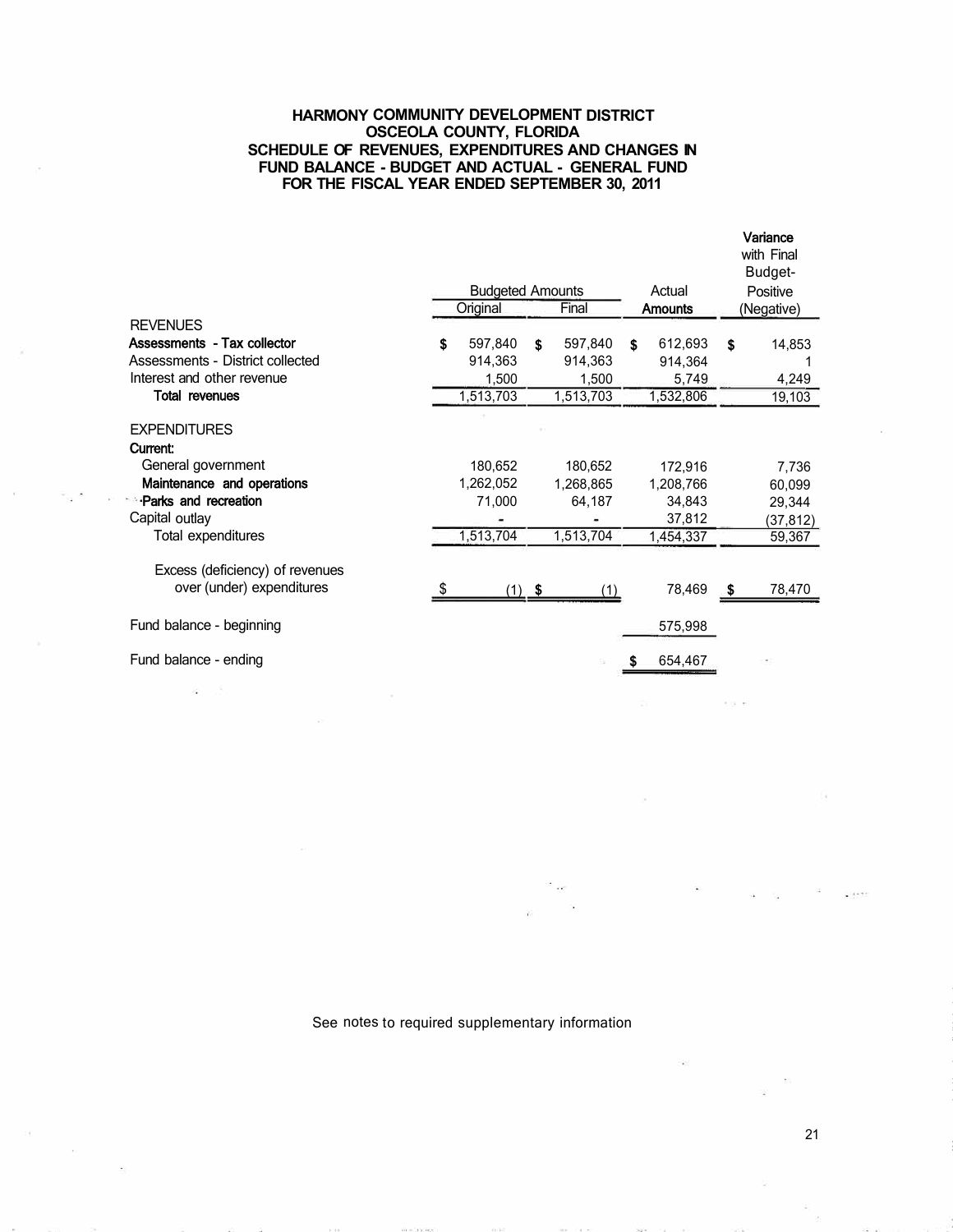# **HARMONY COMMUNITY DEVELOPMENT DISTRICT OSCEOLA COUNTY, FLORIDA SCHEDULE OF REVENUES, EXPENDITURES AND CHANGES IN FUND BALANCE - BUDGET AND ACTUAL - GENERAL FUND FOR THE FISCAL YEAR ENDED SEPTEMBER 30, 2011**

|                                  |                         |           |       |           |         |           |            | Variance<br>with Final<br>Budget- |
|----------------------------------|-------------------------|-----------|-------|-----------|---------|-----------|------------|-----------------------------------|
|                                  | <b>Budgeted Amounts</b> |           |       |           | Actual  | Positive  |            |                                   |
|                                  | Original                |           | Final |           | Amounts |           | (Negative) |                                   |
| <b>REVENUES</b>                  |                         |           |       |           |         |           |            |                                   |
| Assessments - Tax collector      | \$                      | 597,840   | \$    | 597,840   | \$      | 612,693   | \$         | 14,853                            |
| Assessments - District collected |                         | 914.363   |       | 914,363   |         | 914,364   |            |                                   |
| Interest and other revenue       |                         | 1,500     |       | 1,500     |         | 5,749     |            | 4,249                             |
| <b>Total revenues</b>            |                         | 1,513,703 |       | 1,513,703 |         | 1,532,806 |            | 19,103                            |
| <b>EXPENDITURES</b><br>Current:  |                         |           |       |           |         |           |            |                                   |
| General government               |                         | 180,652   |       | 180,652   |         | 172,916   |            | 7,736                             |
| Maintenance and operations       |                         | 1,262,052 |       | 1,268,865 |         | 1,208,766 |            | 60,099                            |
| Parks and recreation             |                         | 71,000    |       | 64,187    |         | 34,843    |            | 29,344                            |
| Capital outlay                   |                         |           |       |           |         | 37,812    |            | (37,812)                          |
| Total expenditures               |                         | 1,513,704 |       | 1,513,704 |         | 1,454,337 |            | 59,367                            |
| Excess (deficiency) of revenues  |                         |           |       |           |         |           |            |                                   |
| over (under) expenditures        |                         | $(1)$ \$  |       | (1)       |         | 78,469    | - 5        | 78,470                            |
| Fund balance - beginning         |                         |           |       |           |         | 575,998   |            |                                   |
| Fund balance - ending            |                         |           |       |           |         | 654,467   |            |                                   |

See notes to required supplementary information

21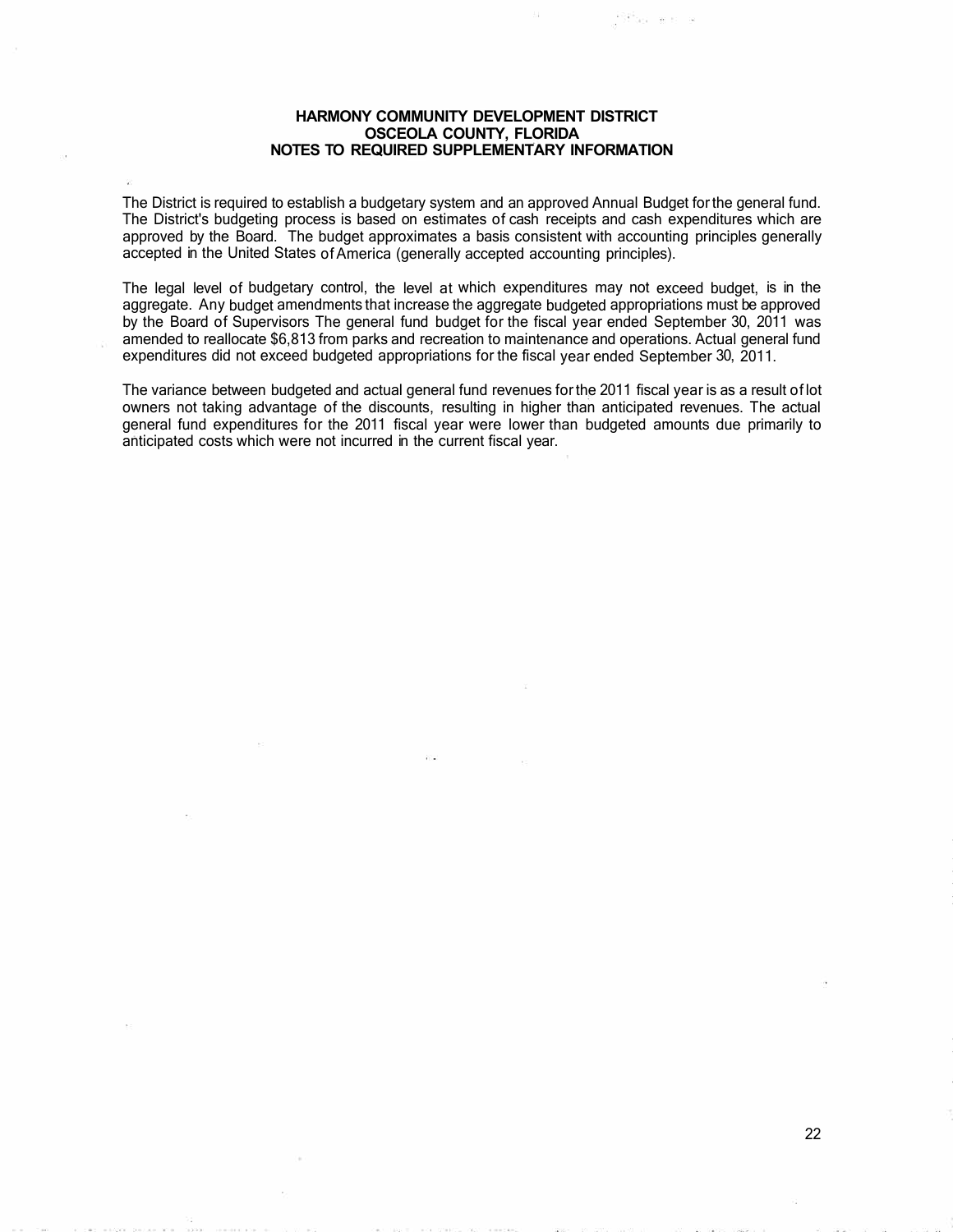# **HARMONY COMMUNITY DEVELOPMENT DISTRICT OSCEOLA COUNTY, FLORIDA NOTES TO REQUIRED SUPPLEMENTARY INFORMATION**

<sup>1934</sup>as els

The District is required to establish a budgetary system and an approved Annual Budget for the general fund. The District's budgeting process is based on estimates of cash receipts and cash expenditures which are approved by the Board. The budget approximates a basis consistent with accounting principles generally accepted in the United States of America (generally accepted accounting principles).

The legal level of budgetary control, the level at which expenditures may not exceed budget, is in the aggregate. Any budget amendments that increase the aggregate budgeted appropriations must be approved by the Board of Supervisors The general fund budget for the fiscal year ended September 30, 2011 was amended to reallocate \$6,813 from parks and recreation to maintenance and operations. Actual general fund expenditures did not exceed budgeted appropriations for the fiscal year ended September 30, 2011.

The variance between budgeted and actual general fund revenues for the 2011 fiscal year is as a result of lot owners not taking advantage of the discounts, resulting in higher than anticipated revenues. The actual general fund expenditures for the 2011 fiscal year were lower than budgeted amounts due primarily to anticipated costs which were not incurred in the current fiscal year.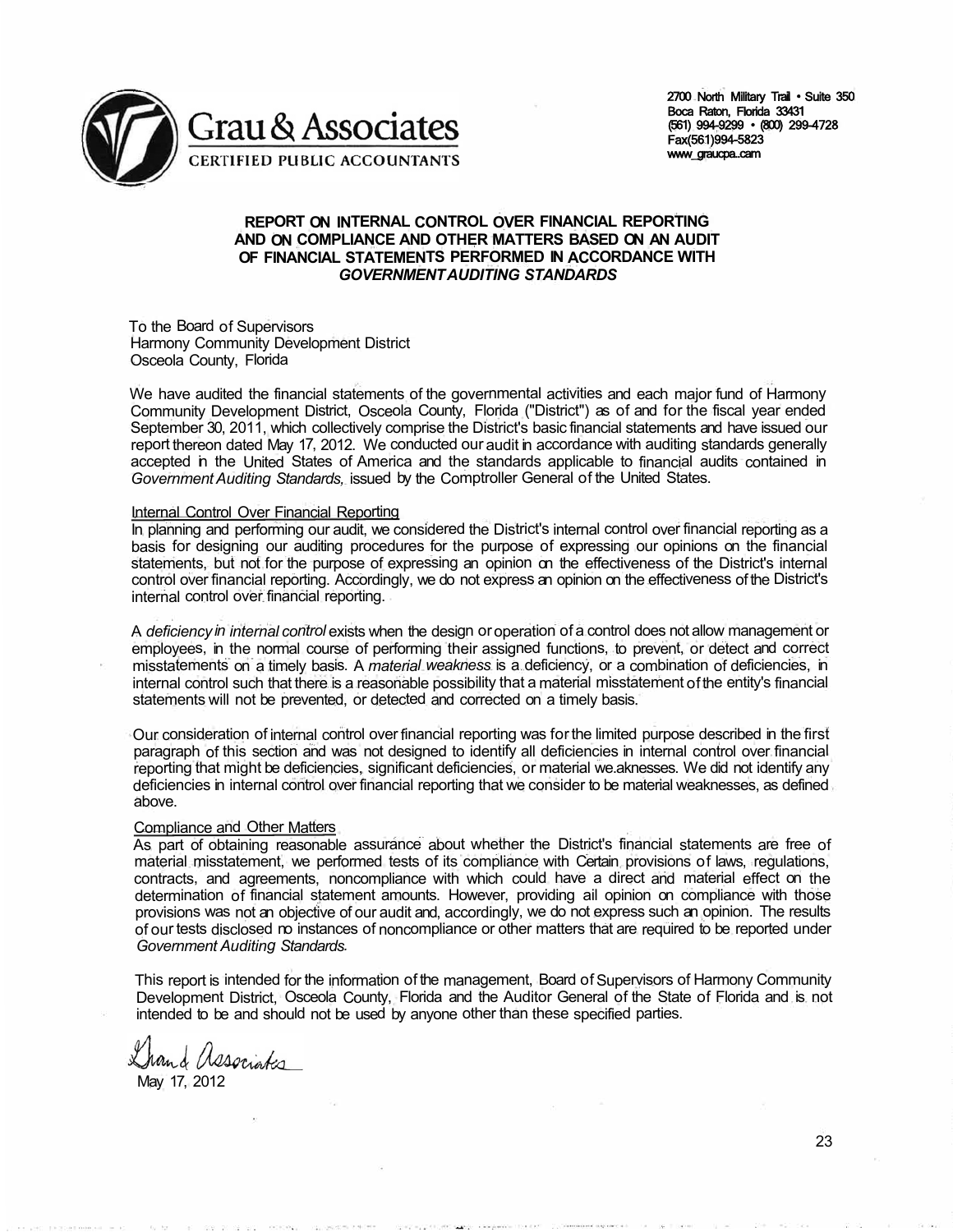

2700 North Military Trail • Suite 350 Boca Raton, Florida 33431 (561) 994-9299 • (800) 299-4728 Fax(561)994-5823 www.graucpa..cam

# **REPORT ON INTERNAL CONTROL OVER FINANCIAL REPORTING AND ON COMPLIANCE AND OTHER MATTERS BASED ON AN AUDIT OF FINANCIAL STATEMENTS PERFORMED IN ACCORDANCE WITH**  *GOVERNMENT AUDITING STANDARDS*

To the Board of Supervisors Harmony Community Development District Osceola County, Florida

We have audited the financial statements of the governmental activities and each major fund of Harmony Community Development District, Osceola County, Florida ("District") as of and for the fiscal year ended September 30, 2011, which collectively comprise the District's basic financial statements and have issued our report thereon dated May 17, 2012. We conducted our audit in accordance with auditing standards generally accepted in the United States of America and the standards applicable to financial audits contained in *Government Auditing Standards,* issued by the Comptroller General of the United States.

# Internal Control Over Financial Reporting

In planning and performing our audit, we considered the District's internal control over financial reporting as a basis for designing our auditing procedures for the purpose of expressing our opinions on the financial statements, but not for the purpose of expressing an opinion on the effectiveness of the District's internal control over financial reporting. Accordingly, we do not express an opinion on the effectiveness of the District's internal control over financial reporting.

A *deficiency in internal control* exists when the design or operation of a control does not allow management or employees, in the normal course of performing their assigned functions, to prevent, or detect and correct misstatements on a timely basis. A *material weakness* is a deficiency, or a combination of deficiencies, in internal control such that there is a reasonable possibility that a material misstatement of the entity's financial statements will not be prevented, or detected and corrected on a timely basis.

Our consideration of internal control over financial reporting was for the limited purpose described in the first paragraph of this section and was not designed to identify all deficiencies in internal control over financial reporting that might be deficiencies, significant deficiencies, or material we.aknesses. We did not identify any deficiencies in internal control over financial reporting that we consider to be material weaknesses, as defined above.

## Compliance and Other Matters

As part of obtaining reasonable assurance about whether the District's financial statements are free of material misstatement, we performed tests of its compliance with Certain provisions of laws, regulations, contracts, and agreements, noncompliance with which could have a direct and material effect on the determination of financial statement amounts. However, providing ail opinion on compliance with those provisions was not an objective of our audit and, accordingly, we do not express such an opinion. The results of our tests disclosed no instances of noncompliance or other matters that are required to be reported under *Government Auditing Standards.* 

This report is intended for the information of the management, Board of Supervisors of Harmony Community Development District, Osceola County, Florida and the Auditor General of the State of Florida and is not intended to be and should not be used by anyone other than these specified parties.

and *Associates* 

May 17, 2012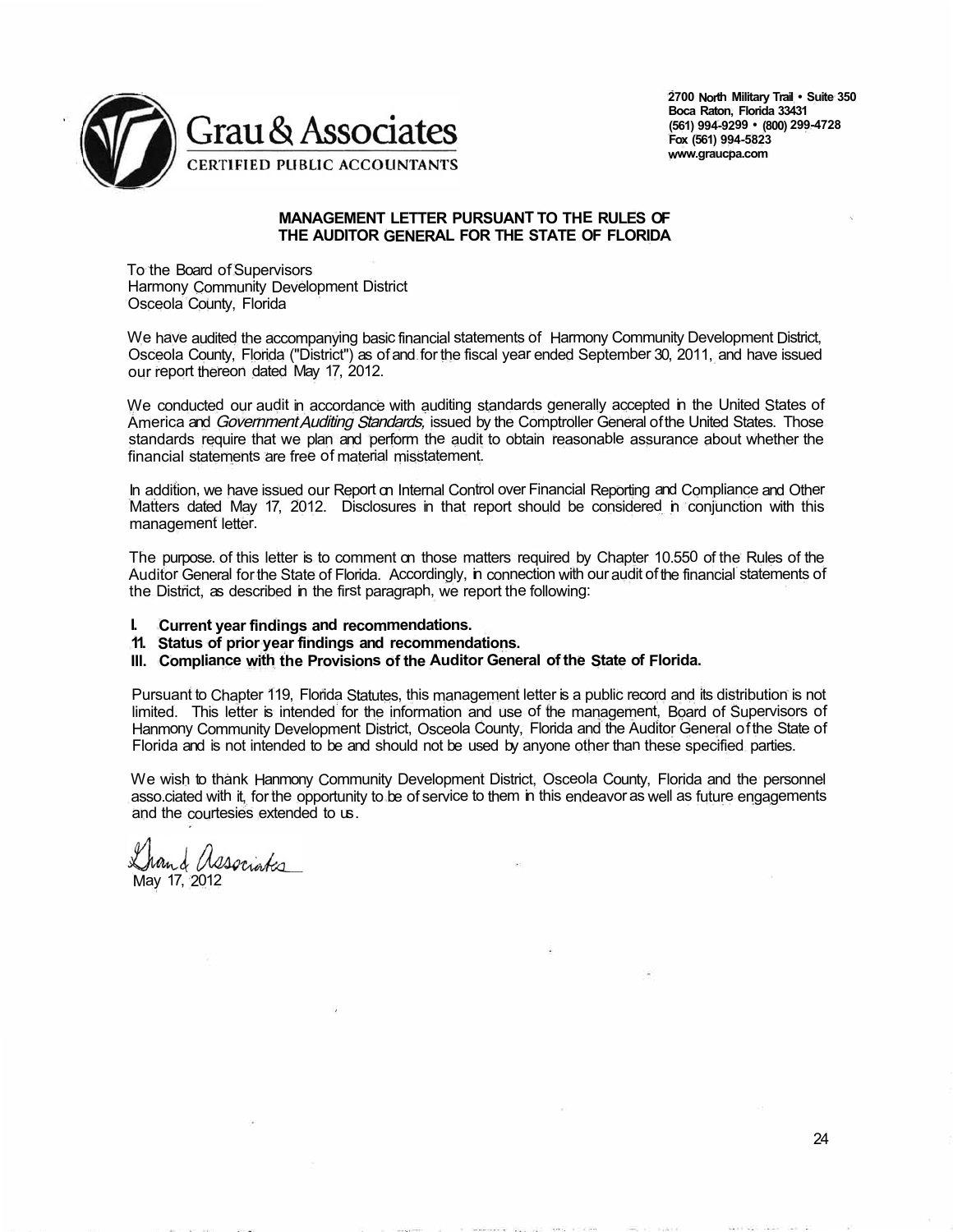

**2700 North Military Trail • Suite 350 Boca Raton, Florida 33431 (561) 994-9299 • (800) 299-4728 Fox (561) 994-5823 www.graucpa.com** 

# **MANAGEMENT LETTER PURSUANT TO THE RULES OF THE AUDITOR GENERAL FOR THE STATE OF FLORIDA**

To the Board of Supervisors Harmony Community Development District Osceola County, Florida

We have audited the accompanying basic financial statements of Harmony Community Development District, Osceola County, Florida ("District") as of and for the fiscal year ended September 30, 2011, and have issued our report thereon dated May 17, 2012.

We conducted our audit in accordance with auditing standards generally accepted in the United States of America and *Government Auditing Standards*, issued by the Comptroller General of the United States. Those standards require that we plan and perform the audit to obtain reasonable assurance about whether the financial statements are free of material misstatement.

In addition, we have issued our Report on Internal Control over Financial Reporting and Compliance and Other Matters dated May 17, 2012. Disclosures in that report should be considered in conjunction with this management letter.

The purpose. of this letter is to comment on those matters required by Chapter 10.550 of the Rules of the Auditor General for the State of Florida. Accordingly, in connection with our audit of the financial statements of the District, as described in the first paragraph, we report the following:

## **I. Current year findings and recommendations.**

**11. Status of prior year findings and recommendations.**

## **Ill. Compliance with the Provisions of the Auditor General of the State of Florida.**

Pursuant to Chapter 119, Florida Statutes, this management letter is a public record and its distribution is not limited. This letter is intended for the information and use of the management, Board of Supervisors of Hanmony Community Development District, Osceola County, Florida and the Auditor General of the State of Florida and is not intended to be and should not be used by anyone other than these specified parties.

We wish to thank Hanmony Community Development District, Osceola County, Florida and the personnel asso.ciated with it, for the opportunity to be of service to them in this endeavor as well as future engagements and the courtesies extended to us .

*Associates* 

May 17, 2012

24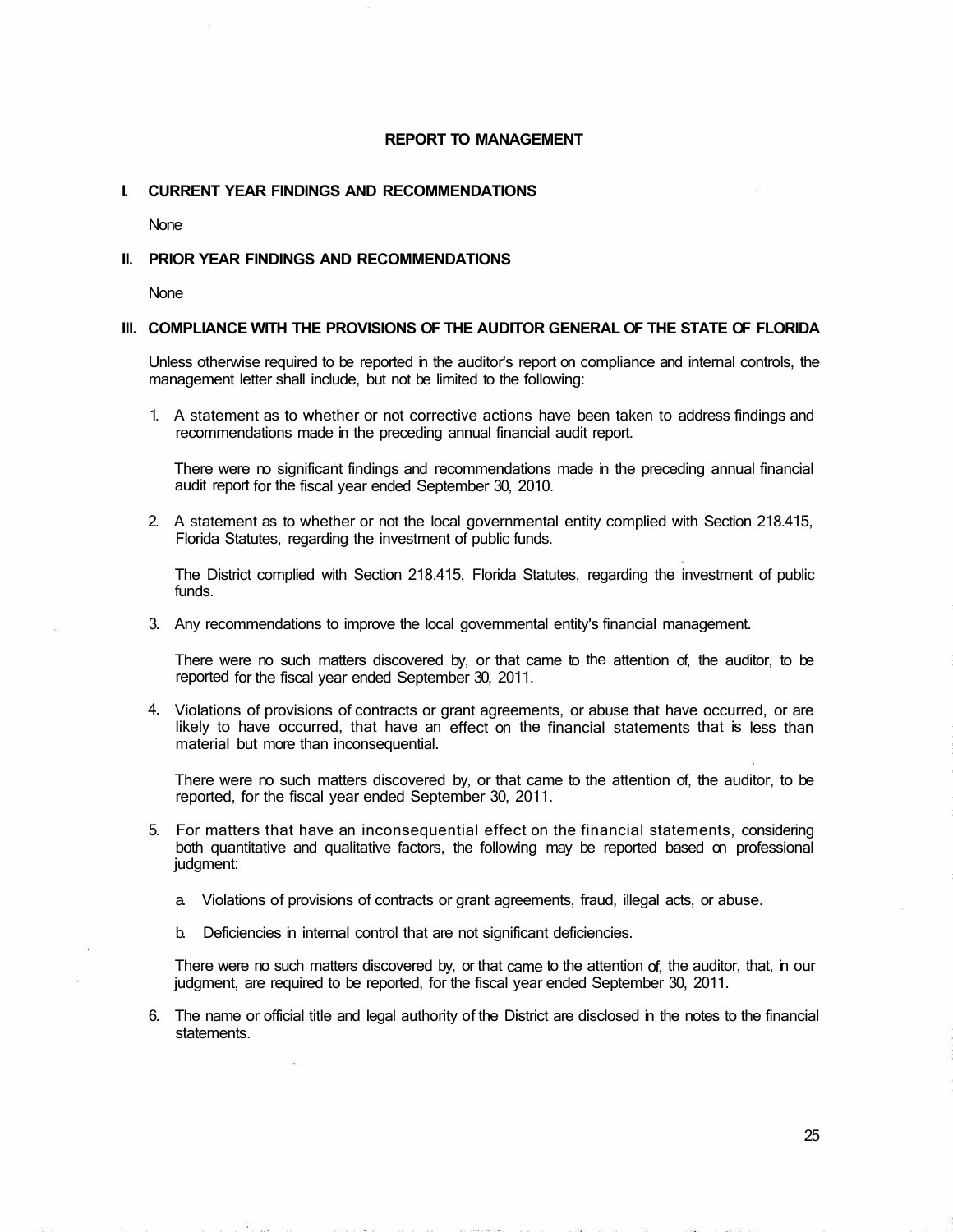# **REPORT TO MANAGEMENT**

# **I. CURRENT YEAR FINDINGS AND RECOMMENDATIONS**

**None** 

# **II. PRIOR YEAR FINDINGS AND RECOMMENDATIONS**

None

## **Ill. COMPLIANCE WITH THE PROVISIONS OF THE AUDITOR GENERAL OF THE STATE OF FLORIDA**

Unless otherwise required to be reported in the auditor's report on compliance and internal controls, the management letter shall include, but not be limited to the following:

1. A statement as to whether or not corrective actions have been taken to address findings and recommendations made in the preceding annual financial audit report.

There were no significant findings and recommendations made in the preceding annual financial audit report for the fiscal year ended September 30, 2010.

2. A statement as to whether or not the local governmental entity complied with Section 218.415, Florida Statutes, regarding the investment of public funds.

The District complied with Section 218.415, Florida Statutes, regarding the investment of public funds.

3. Any recommendations to improve the local governmental entity's financial management.

There were no such matters discovered by, or that came to the attention of, the auditor, to be reported for the fiscal year ended September 30, 2011.

4. Violations of provisions of contracts or grant agreements, or abuse that have occurred, or are likely to have occurred, that have an effect on the financial statements that is less than material but more than inconsequential.

There were no such matters discovered by, or that came to the attention of, the auditor, to be reported, for the fiscal year ended September 30, 2011.

- 5. For matters that have an inconsequential effect on the financial statements, considering both quantitative and qualitative factors, the following may be reported based on professional judgment:
	- a. Violations of provisions of contracts or grant agreements, fraud, illegal acts, or abuse.
	- b. Deficiencies in internal control that are not significant deficiencies.

There were no such matters discovered by, or that came to the attention of, the auditor, that, in our judgment, are required to be reported, for the fiscal year ended September 30, 2011.

6. The name or official title and legal authority of the District are disclosed in the notes to the financial statements.

25